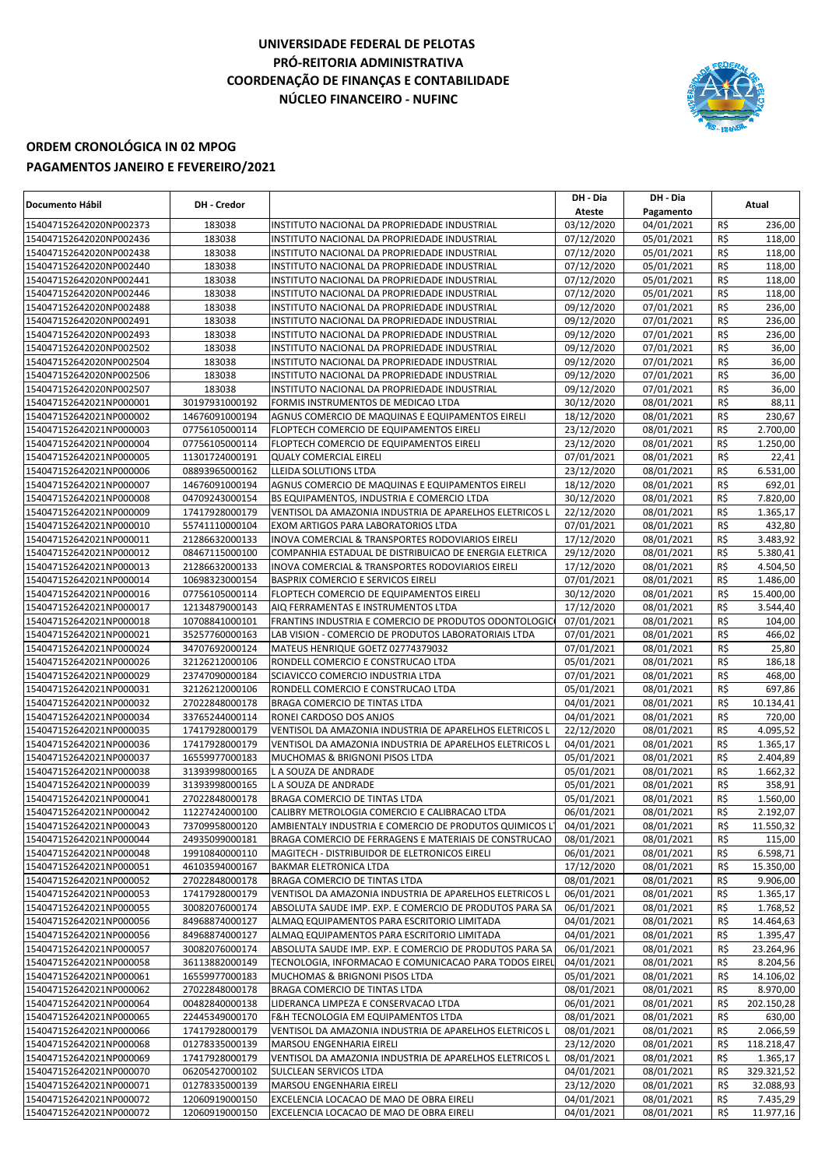## **UNIVERSIDADE FEDERAL DE PELOTAS PRÓ-REITORIA ADMINISTRATIVA COORDENAÇÃO DE FINANÇAS E CONTABILIDADE NÚCLEO FINANCEIRO - NUFINC**



## **ORDEM CRONOLÓGICA IN 02 MPOG PAGAMENTOS JANEIRO E FEVEREIRO/2021**

| Documento Hábil         | DH - Credor    |                                                         | DH - Dia   | DH - Dia   |            | Atual      |
|-------------------------|----------------|---------------------------------------------------------|------------|------------|------------|------------|
|                         |                |                                                         | Ateste     | Pagamento  |            |            |
| 154047152642020NP002373 | 183038         | INSTITUTO NACIONAL DA PROPRIEDADE INDUSTRIAL            | 03/12/2020 | 04/01/2021 | R\$        | 236,00     |
| 154047152642020NP002436 | 183038         | INSTITUTO NACIONAL DA PROPRIEDADE INDUSTRIAL            | 07/12/2020 | 05/01/2021 | R\$        | 118,00     |
| 154047152642020NP002438 | 183038         | INSTITUTO NACIONAL DA PROPRIEDADE INDUSTRIAL            | 07/12/2020 | 05/01/2021 | R\$        | 118,00     |
| 154047152642020NP002440 | 183038         | INSTITUTO NACIONAL DA PROPRIEDADE INDUSTRIAL            | 07/12/2020 | 05/01/2021 | R\$        | 118,00     |
| 154047152642020NP002441 | 183038         | INSTITUTO NACIONAL DA PROPRIEDADE INDUSTRIAL            | 07/12/2020 | 05/01/2021 | R\$        | 118,00     |
| 154047152642020NP002446 | 183038         | INSTITUTO NACIONAL DA PROPRIEDADE INDUSTRIAL            | 07/12/2020 | 05/01/2021 | R\$        | 118,00     |
| 154047152642020NP002488 | 183038         | INSTITUTO NACIONAL DA PROPRIEDADE INDUSTRIAL            | 09/12/2020 | 07/01/2021 | R\$        | 236,00     |
| 154047152642020NP002491 | 183038         | INSTITUTO NACIONAL DA PROPRIEDADE INDUSTRIAL            | 09/12/2020 | 07/01/2021 | R\$        | 236,00     |
| 154047152642020NP002493 | 183038         | INSTITUTO NACIONAL DA PROPRIEDADE INDUSTRIAL            | 09/12/2020 | 07/01/2021 | R\$        | 236,00     |
| 154047152642020NP002502 | 183038         | INSTITUTO NACIONAL DA PROPRIEDADE INDUSTRIAL            | 09/12/2020 | 07/01/2021 | R\$        | 36,00      |
| 154047152642020NP002504 | 183038         | INSTITUTO NACIONAL DA PROPRIEDADE INDUSTRIAL            | 09/12/2020 | 07/01/2021 | R\$        | 36,00      |
| 154047152642020NP002506 | 183038         | INSTITUTO NACIONAL DA PROPRIEDADE INDUSTRIAL            | 09/12/2020 | 07/01/2021 | R\$        | 36,00      |
| 154047152642020NP002507 | 183038         | INSTITUTO NACIONAL DA PROPRIEDADE INDUSTRIAL            | 09/12/2020 | 07/01/2021 | R\$        | 36,00      |
| 154047152642021NP000001 | 30197931000192 | FORMIS INSTRUMENTOS DE MEDICAO LTDA                     | 30/12/2020 | 08/01/2021 | R\$        | 88,11      |
| 154047152642021NP000002 | 14676091000194 | AGNUS COMERCIO DE MAQUINAS E EQUIPAMENTOS EIRELI        | 18/12/2020 | 08/01/2021 | R\$        | 230,67     |
| 154047152642021NP000003 | 07756105000114 | FLOPTECH COMERCIO DE EQUIPAMENTOS EIRELI                | 23/12/2020 | 08/01/2021 | R\$        | 2.700,00   |
| 154047152642021NP000004 | 07756105000114 | FLOPTECH COMERCIO DE EQUIPAMENTOS EIRELI                | 23/12/2020 | 08/01/2021 | R\$        | 1.250,00   |
| 154047152642021NP000005 | 11301724000191 | <b>QUALY COMERCIAL EIRELI</b>                           | 07/01/2021 | 08/01/2021 | R\$        | 22,41      |
| 154047152642021NP000006 | 08893965000162 | LLEIDA SOLUTIONS LTDA                                   | 23/12/2020 | 08/01/2021 | R\$        | 6.531,00   |
| 154047152642021NP000007 | 14676091000194 | AGNUS COMERCIO DE MAQUINAS E EQUIPAMENTOS EIRELI        | 18/12/2020 | 08/01/2021 | R\$        | 692,01     |
| 154047152642021NP000008 | 04709243000154 | BS EQUIPAMENTOS, INDUSTRIA E COMERCIO LTDA              | 30/12/2020 | 08/01/2021 | R\$        | 7.820,00   |
| 154047152642021NP000009 | 17417928000179 | VENTISOL DA AMAZONIA INDUSTRIA DE APARELHOS ELETRICOS L | 22/12/2020 | 08/01/2021 | R\$        | 1.365,17   |
| 154047152642021NP000010 | 55741110000104 | EXOM ARTIGOS PARA LABORATORIOS LTDA                     | 07/01/2021 | 08/01/2021 | R\$        | 432,80     |
| 154047152642021NP000011 | 21286632000133 | INOVA COMERCIAL & TRANSPORTES RODOVIARIOS EIRELI        | 17/12/2020 | 08/01/2021 | R\$        | 3.483,92   |
| 154047152642021NP000012 | 08467115000100 | COMPANHIA ESTADUAL DE DISTRIBUICAO DE ENERGIA ELETRICA  | 29/12/2020 | 08/01/2021 | R\$        | 5.380,41   |
| 154047152642021NP000013 | 21286632000133 | INOVA COMERCIAL & TRANSPORTES RODOVIARIOS EIRELI        | 17/12/2020 | 08/01/2021 | R\$        | 4.504,50   |
|                         | 10698323000154 |                                                         | 07/01/2021 | 08/01/2021 |            |            |
| 154047152642021NP000014 |                | BASPRIX COMERCIO E SERVICOS EIRELI                      |            |            | R\$<br>R\$ | 1.486,00   |
| 154047152642021NP000016 | 07756105000114 | FLOPTECH COMERCIO DE EQUIPAMENTOS EIRELI                | 30/12/2020 | 08/01/2021 |            | 15.400,00  |
| 154047152642021NP000017 | 12134879000143 | AIQ FERRAMENTAS E INSTRUMENTOS LTDA                     | 17/12/2020 | 08/01/2021 | R\$        | 3.544,40   |
| 154047152642021NP000018 | 10708841000101 | FRANTINS INDUSTRIA E COMERCIO DE PRODUTOS ODONTOLOGICO  | 07/01/2021 | 08/01/2021 | R\$        | 104,00     |
| 154047152642021NP000021 | 35257760000163 | LAB VISION - COMERCIO DE PRODUTOS LABORATORIAIS LTDA    | 07/01/2021 | 08/01/2021 | R\$        | 466,02     |
| 154047152642021NP000024 | 34707692000124 | MATEUS HENRIQUE GOETZ 02774379032                       | 07/01/2021 | 08/01/2021 | R\$        | 25,80      |
| 154047152642021NP000026 | 32126212000106 | RONDELL COMERCIO E CONSTRUCAO LTDA                      | 05/01/2021 | 08/01/2021 | R\$        | 186,18     |
| 154047152642021NP000029 | 23747090000184 | SCIAVICCO COMERCIO INDUSTRIA LTDA                       | 07/01/2021 | 08/01/2021 | R\$        | 468,00     |
| 154047152642021NP000031 | 32126212000106 | RONDELL COMERCIO E CONSTRUCAO LTDA                      | 05/01/2021 | 08/01/2021 | R\$        | 697,86     |
| 154047152642021NP000032 | 27022848000178 | BRAGA COMERCIO DE TINTAS LTDA                           | 04/01/2021 | 08/01/2021 | R\$        | 10.134,41  |
| 154047152642021NP000034 | 33765244000114 | RONEI CARDOSO DOS ANJOS                                 | 04/01/2021 | 08/01/2021 | R\$        | 720,00     |
| 154047152642021NP000035 | 17417928000179 | VENTISOL DA AMAZONIA INDUSTRIA DE APARELHOS ELETRICOS L | 22/12/2020 | 08/01/2021 | R\$        | 4.095,52   |
| 154047152642021NP000036 | 17417928000179 | VENTISOL DA AMAZONIA INDUSTRIA DE APARELHOS ELETRICOS L | 04/01/2021 | 08/01/2021 | R\$        | 1.365,17   |
| 154047152642021NP000037 | 16559977000183 | MUCHOMAS & BRIGNONI PISOS LTDA                          | 05/01/2021 | 08/01/2021 | R\$        | 2.404,89   |
| 154047152642021NP000038 | 31393998000165 | L A SOUZA DE ANDRADE                                    | 05/01/2021 | 08/01/2021 | R\$        | 1.662,32   |
| 154047152642021NP000039 | 31393998000165 | L A SOUZA DE ANDRADE                                    | 05/01/2021 | 08/01/2021 | R\$        | 358,91     |
| 154047152642021NP000041 | 27022848000178 | BRAGA COMERCIO DE TINTAS LTDA                           | 05/01/2021 | 08/01/2021 | R\$        | 1.560,00   |
| 154047152642021NP000042 | 11227424000100 | CALIBRY METROLOGIA COMERCIO E CALIBRACAO LTDA           | 06/01/2021 | 08/01/2021 | $R\zeta$   | 2.192,07   |
| 154047152642021NP000043 | 73709958000120 | AMBIENTALY INDUSTRIA E COMERCIO DE PRODUTOS QUIMICOS L' | 04/01/2021 | 08/01/2021 | R\$        | 11.550,32  |
| 154047152642021NP000044 | 24935099000181 | BRAGA COMERCIO DE FERRAGENS E MATERIAIS DE CONSTRUCAO   | 08/01/2021 | 08/01/2021 | R\$        | 115,00     |
| 154047152642021NP000048 | 19910840000110 | MAGITECH - DISTRIBUIDOR DE ELETRONICOS EIRELI           | 06/01/2021 | 08/01/2021 | R\$        | 6.598,71   |
| 154047152642021NP000051 | 46103594000167 | BAKMAR ELETRONICA LTDA                                  | 17/12/2020 | 08/01/2021 | R\$        | 15.350,00  |
| 154047152642021NP000052 | 27022848000178 | BRAGA COMERCIO DE TINTAS LTDA                           | 08/01/2021 | 08/01/2021 | R\$        | 9.906,00   |
| 154047152642021NP000053 | 17417928000179 | VENTISOL DA AMAZONIA INDUSTRIA DE APARELHOS ELETRICOS L | 06/01/2021 | 08/01/2021 | R\$        | 1.365,17   |
| 154047152642021NP000055 | 30082076000174 | ABSOLUTA SAUDE IMP. EXP. E COMERCIO DE PRODUTOS PARA SA | 06/01/2021 | 08/01/2021 | R\$        | 1.768,52   |
| 154047152642021NP000056 | 84968874000127 | ALMAQ EQUIPAMENTOS PARA ESCRITORIO LIMITADA             | 04/01/2021 | 08/01/2021 | R\$        | 14.464,63  |
| 154047152642021NP000056 | 84968874000127 | ALMAQ EQUIPAMENTOS PARA ESCRITORIO LIMITADA             | 04/01/2021 | 08/01/2021 | R\$        | 1.395,47   |
| 154047152642021NP000057 | 30082076000174 | ABSOLUTA SAUDE IMP. EXP. E COMERCIO DE PRODUTOS PARA SA | 06/01/2021 | 08/01/2021 | R\$        | 23.264,96  |
| 154047152642021NP000058 | 36113882000149 | TECNOLOGIA, INFORMACAO E COMUNICACAO PARA TODOS EIREL   | 04/01/2021 | 08/01/2021 | R\$        | 8.204,56   |
| 154047152642021NP000061 | 16559977000183 | MUCHOMAS & BRIGNONI PISOS LTDA                          | 05/01/2021 | 08/01/2021 | R\$        | 14.106,02  |
| 154047152642021NP000062 | 27022848000178 | BRAGA COMERCIO DE TINTAS LTDA                           | 08/01/2021 | 08/01/2021 | R\$        | 8.970,00   |
| 154047152642021NP000064 | 00482840000138 | LIDERANCA LIMPEZA E CONSERVACAO LTDA                    | 06/01/2021 | 08/01/2021 | R\$        | 202.150,28 |
| 154047152642021NP000065 | 22445349000170 | F&H TECNOLOGIA EM EQUIPAMENTOS LTDA                     | 08/01/2021 | 08/01/2021 | R\$        | 630,00     |
| 154047152642021NP000066 | 17417928000179 | VENTISOL DA AMAZONIA INDUSTRIA DE APARELHOS ELETRICOS L | 08/01/2021 | 08/01/2021 | R\$        | 2.066,59   |
| 154047152642021NP000068 | 01278335000139 | MARSOU ENGENHARIA EIRELI                                | 23/12/2020 | 08/01/2021 | R\$        | 118.218,47 |
| 154047152642021NP000069 | 17417928000179 | VENTISOL DA AMAZONIA INDUSTRIA DE APARELHOS ELETRICOS L | 08/01/2021 | 08/01/2021 | R\$        | 1.365,17   |
| 154047152642021NP000070 | 06205427000102 | SULCLEAN SERVICOS LTDA                                  | 04/01/2021 | 08/01/2021 | R\$        | 329.321,52 |
| 154047152642021NP000071 | 01278335000139 | MARSOU ENGENHARIA EIRELI                                | 23/12/2020 | 08/01/2021 | R\$        | 32.088,93  |
| 154047152642021NP000072 | 12060919000150 | EXCELENCIA LOCACAO DE MAO DE OBRA EIRELI                | 04/01/2021 | 08/01/2021 | R\$        | 7.435,29   |
| 154047152642021NP000072 | 12060919000150 | EXCELENCIA LOCACAO DE MAO DE OBRA EIRELI                | 04/01/2021 | 08/01/2021 | R\$        | 11.977,16  |
|                         |                |                                                         |            |            |            |            |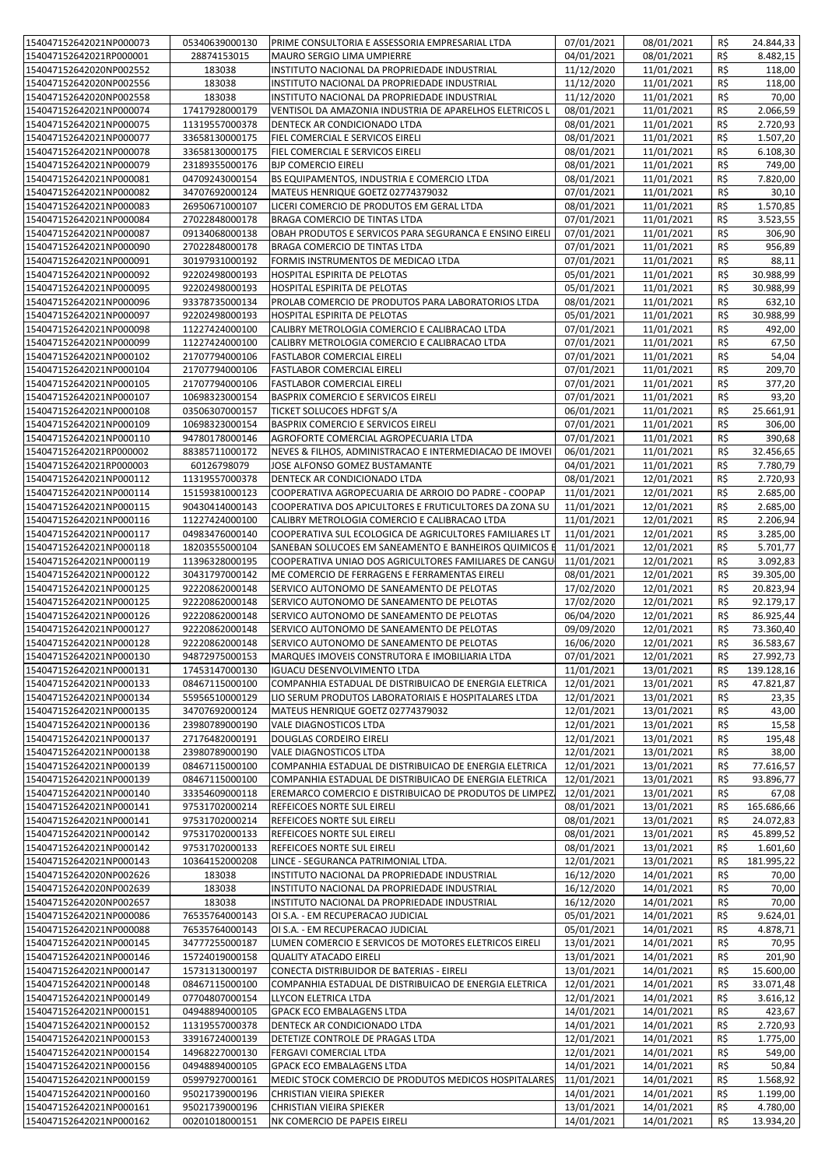| 154047152642021NP000073 | 05340639000130 | PRIME CONSULTORIA E ASSESSORIA EMPRESARIAL LTDA         | 07/01/2021 | 08/01/2021               | R\$            | 24.844,33  |
|-------------------------|----------------|---------------------------------------------------------|------------|--------------------------|----------------|------------|
| 154047152642021RP000001 | 28874153015    | MAURO SERGIO LIMA UMPIERRE                              | 04/01/2021 | 08/01/2021               | R\$            | 8.482,15   |
| 154047152642020NP002552 | 183038         | INSTITUTO NACIONAL DA PROPRIEDADE INDUSTRIAL            | 11/12/2020 | 11/01/2021               | R\$            | 118,00     |
| 154047152642020NP002556 | 183038         | INSTITUTO NACIONAL DA PROPRIEDADE INDUSTRIAL            | 11/12/2020 | 11/01/2021               | R\$            | 118,00     |
|                         |                |                                                         |            |                          |                |            |
| 154047152642020NP002558 | 183038         | INSTITUTO NACIONAL DA PROPRIEDADE INDUSTRIAL            | 11/12/2020 | 11/01/2021               | R\$            | 70,00      |
| 154047152642021NP000074 | 17417928000179 | VENTISOL DA AMAZONIA INDUSTRIA DE APARELHOS ELETRICOS L | 08/01/2021 | 11/01/2021               | R\$            | 2.066,59   |
| 154047152642021NP000075 | 11319557000378 | DENTECK AR CONDICIONADO LTDA                            | 08/01/2021 | 11/01/2021               | R\$            | 2.720,93   |
| 154047152642021NP000077 | 33658130000175 | FIEL COMERCIAL E SERVICOS EIRELI                        | 08/01/2021 | 11/01/2021               | R\$            | 1.507,20   |
| 154047152642021NP000078 | 33658130000175 | FIEL COMERCIAL E SERVICOS EIRELI                        | 08/01/2021 | 11/01/2021               | R\$            | 6.108,30   |
| 154047152642021NP000079 | 23189355000176 | <b>BJP COMERCIO EIRELI</b>                              | 08/01/2021 | 11/01/2021               | R\$            | 749,00     |
| 154047152642021NP000081 | 04709243000154 | BS EQUIPAMENTOS, INDUSTRIA E COMERCIO LTDA              | 08/01/2021 | 11/01/2021               | R\$            | 7.820,00   |
| 154047152642021NP000082 | 34707692000124 | MATEUS HENRIQUE GOETZ 02774379032                       | 07/01/2021 | 11/01/2021               | R\$            | 30,10      |
| 154047152642021NP000083 | 26950671000107 | LICERI COMERCIO DE PRODUTOS EM GERAL LTDA               | 08/01/2021 | 11/01/2021               | R\$            | 1.570,85   |
| 154047152642021NP000084 | 27022848000178 | BRAGA COMERCIO DE TINTAS LTDA                           | 07/01/2021 | 11/01/2021               | R\$            | 3.523,55   |
| 154047152642021NP000087 | 09134068000138 | OBAH PRODUTOS E SERVICOS PARA SEGURANCA E ENSINO EIRELI | 07/01/2021 | 11/01/2021               | R\$            | 306,90     |
| 154047152642021NP000090 | 27022848000178 | BRAGA COMERCIO DE TINTAS LTDA                           | 07/01/2021 | 11/01/2021               | R\$            | 956,89     |
| 154047152642021NP000091 | 30197931000192 | FORMIS INSTRUMENTOS DE MEDICAO LTDA                     | 07/01/2021 | 11/01/2021               | R\$            | 88,11      |
| 154047152642021NP000092 | 92202498000193 | HOSPITAL ESPIRITA DE PELOTAS                            | 05/01/2021 | 11/01/2021               | R\$            | 30.988,99  |
| 154047152642021NP000095 | 92202498000193 | HOSPITAL ESPIRITA DE PELOTAS                            | 05/01/2021 | 11/01/2021               | R\$            | 30.988,99  |
| 154047152642021NP000096 | 93378735000134 | PROLAB COMERCIO DE PRODUTOS PARA LABORATORIOS LTDA      | 08/01/2021 | 11/01/2021               | R\$            | 632,10     |
| 154047152642021NP000097 | 92202498000193 | HOSPITAL ESPIRITA DE PELOTAS                            | 05/01/2021 | 11/01/2021               | R\$            | 30.988,99  |
| 154047152642021NP000098 |                |                                                         | 07/01/2021 |                          |                |            |
|                         | 11227424000100 | CALIBRY METROLOGIA COMERCIO E CALIBRACAO LTDA           |            | 11/01/2021<br>11/01/2021 | R\$            | 492,00     |
| 154047152642021NP000099 | 11227424000100 | CALIBRY METROLOGIA COMERCIO E CALIBRACAO LTDA           | 07/01/2021 |                          | R\$            | 67,50      |
| 154047152642021NP000102 | 21707794000106 | <b>FASTLABOR COMERCIAL EIRELI</b>                       | 07/01/2021 | 11/01/2021               | R\$            | 54,04      |
| 154047152642021NP000104 | 21707794000106 | FASTLABOR COMERCIAL EIRELI                              | 07/01/2021 | 11/01/2021               | R\$            | 209,70     |
| 154047152642021NP000105 | 21707794000106 | <b>FASTLABOR COMERCIAL EIRELI</b>                       | 07/01/2021 | 11/01/2021               | R\$            | 377,20     |
| 154047152642021NP000107 | 10698323000154 | BASPRIX COMERCIO E SERVICOS EIRELI                      | 07/01/2021 | 11/01/2021               | R\$            | 93,20      |
| 154047152642021NP000108 | 03506307000157 | TICKET SOLUCOES HDFGT S/A                               | 06/01/2021 | 11/01/2021               | R\$            | 25.661,91  |
| 154047152642021NP000109 | 10698323000154 | BASPRIX COMERCIO E SERVICOS EIRELI                      | 07/01/2021 | 11/01/2021               | R\$            | 306,00     |
| 154047152642021NP000110 | 94780178000146 | AGROFORTE COMERCIAL AGROPECUARIA LTDA                   | 07/01/2021 | 11/01/2021               | R\$            | 390,68     |
| 154047152642021RP000002 | 88385711000172 | NEVES & FILHOS, ADMINISTRACAO E INTERMEDIACAO DE IMOVEI | 06/01/2021 | 11/01/2021               | R\$            | 32.456,65  |
| 154047152642021RP000003 | 60126798079    | JOSE ALFONSO GOMEZ BUSTAMANTE                           | 04/01/2021 | 11/01/2021               | R\$            | 7.780,79   |
| 154047152642021NP000112 | 11319557000378 | DENTECK AR CONDICIONADO LTDA                            | 08/01/2021 | 12/01/2021               | R\$            | 2.720,93   |
| 154047152642021NP000114 | 15159381000123 | COOPERATIVA AGROPECUARIA DE ARROIO DO PADRE - COOPAP    | 11/01/2021 | 12/01/2021               | R\$            | 2.685,00   |
| 154047152642021NP000115 | 90430414000143 | COOPERATIVA DOS APICULTORES E FRUTICULTORES DA ZONA SU  | 11/01/2021 | 12/01/2021               | R\$            | 2.685,00   |
| 154047152642021NP000116 | 11227424000100 | CALIBRY METROLOGIA COMERCIO E CALIBRACAO LTDA           | 11/01/2021 | 12/01/2021               | R\$            | 2.206,94   |
| 154047152642021NP000117 | 04983476000140 | COOPERATIVA SUL ECOLOGICA DE AGRICULTORES FAMILIARES LT | 11/01/2021 | 12/01/2021               | R\$            | 3.285,00   |
| 154047152642021NP000118 | 18203555000104 | SANEBAN SOLUCOES EM SANEAMENTO E BANHEIROS QUIMICOS E   | 11/01/2021 | 12/01/2021               | R\$            | 5.701,77   |
| 154047152642021NP000119 | 11396328000195 | COOPERATIVA UNIAO DOS AGRICULTORES FAMILIARES DE CANGU  | 11/01/2021 | 12/01/2021               | R\$            | 3.092,83   |
| 154047152642021NP000122 | 30431797000142 | ME COMERCIO DE FERRAGENS E FERRAMENTAS EIRELI           | 08/01/2021 | 12/01/2021               | R\$            | 39.305,00  |
| 154047152642021NP000125 | 92220862000148 | SERVICO AUTONOMO DE SANEAMENTO DE PELOTAS               | 17/02/2020 | 12/01/2021               | R\$            | 20.823,94  |
| 154047152642021NP000125 | 92220862000148 | SERVICO AUTONOMO DE SANEAMENTO DE PELOTAS               | 17/02/2020 | 12/01/2021               | R\$            | 92.179,17  |
| 154047152642021NP000126 | 92220862000148 | SERVICO AUTONOMO DE SANEAMENTO DE PELOTAS               | 06/04/2020 | 12/01/2021               | R\$            | 86.925,44  |
| 154047152642021NP000127 | 92220862000148 | SERVICO AUTONOMO DE SANEAMENTO DE PELOTAS               | 09/09/2020 | 12/01/2021               | R\$            | 73.360,40  |
| 154047152642021NP000128 | 92220862000148 | SERVICO AUTONOMO DE SANEAMENTO DE PELOTAS               | 16/06/2020 | 12/01/2021               | R\$            | 36.583,67  |
| 154047152642021NP000130 | 94872975000153 | MARQUES IMOVEIS CONSTRUTORA E IMOBILIARIA LTDA          | 07/01/2021 | 12/01/2021               | $R\frac{2}{3}$ | 27.992,73  |
| 154047152642021NP000131 | 17453147000130 | <b>IGUACU DESENVOLVIMENTO LTDA</b>                      | 11/01/2021 | 13/01/2021               | R\$            | 139.128,16 |
| 154047152642021NP000133 | 08467115000100 | COMPANHIA ESTADUAL DE DISTRIBUICAO DE ENERGIA ELETRICA  | 12/01/2021 | 13/01/2021               | R\$            | 47.821,87  |
| 154047152642021NP000134 | 55956510000129 | LIO SERUM PRODUTOS LABORATORIAIS E HOSPITALARES LTDA    | 12/01/2021 | 13/01/2021               | R\$            | 23,35      |
| 154047152642021NP000135 | 34707692000124 | MATEUS HENRIQUE GOETZ 02774379032                       | 12/01/2021 | 13/01/2021               | R\$            | 43,00      |
| 154047152642021NP000136 | 23980789000190 |                                                         | 12/01/2021 | 13/01/2021               | R\$            | 15,58      |
|                         |                | VALE DIAGNOSTICOS LTDA                                  |            |                          |                |            |
| 154047152642021NP000137 | 27176482000191 | DOUGLAS CORDEIRO EIRELI                                 | 12/01/2021 | 13/01/2021               | R\$            | 195,48     |
| 154047152642021NP000138 | 23980789000190 | <b>VALE DIAGNOSTICOS LTDA</b>                           | 12/01/2021 | 13/01/2021               | R\$            | 38,00      |
| 154047152642021NP000139 | 08467115000100 | COMPANHIA ESTADUAL DE DISTRIBUICAO DE ENERGIA ELETRICA  | 12/01/2021 | 13/01/2021               | R\$            | 77.616,57  |
| 154047152642021NP000139 | 08467115000100 | COMPANHIA ESTADUAL DE DISTRIBUICAO DE ENERGIA ELETRICA  | 12/01/2021 | 13/01/2021               | R\$            | 93.896,77  |
| 154047152642021NP000140 | 33354609000118 | EREMARCO COMERCIO E DISTRIBUICAO DE PRODUTOS DE LIMPEZ  | 12/01/2021 | 13/01/2021               | R\$            | 67,08      |
| 154047152642021NP000141 | 97531702000214 | REFEICOES NORTE SUL EIRELI                              | 08/01/2021 | 13/01/2021               | R\$            | 165.686,66 |
| 154047152642021NP000141 | 97531702000214 | REFEICOES NORTE SUL EIRELI                              | 08/01/2021 | 13/01/2021               | R\$            | 24.072,83  |
| 154047152642021NP000142 | 97531702000133 | REFEICOES NORTE SUL EIRELI                              | 08/01/2021 | 13/01/2021               | R\$            | 45.899,52  |
| 154047152642021NP000142 | 97531702000133 | REFEICOES NORTE SUL EIRELI                              | 08/01/2021 | 13/01/2021               | R\$            | 1.601,60   |
| 154047152642021NP000143 | 10364152000208 | LINCE - SEGURANCA PATRIMONIAL LTDA.                     | 12/01/2021 | 13/01/2021               | R\$            | 181.995,22 |
| 154047152642020NP002626 | 183038         | INSTITUTO NACIONAL DA PROPRIEDADE INDUSTRIAL            | 16/12/2020 | 14/01/2021               | R\$            | 70,00      |
| 154047152642020NP002639 | 183038         | INSTITUTO NACIONAL DA PROPRIEDADE INDUSTRIAL            | 16/12/2020 | 14/01/2021               | R\$            | 70,00      |
| 154047152642020NP002657 | 183038         | INSTITUTO NACIONAL DA PROPRIEDADE INDUSTRIAL            | 16/12/2020 | 14/01/2021               | R\$            | 70,00      |
| 154047152642021NP000086 | 76535764000143 | OI S.A. - EM RECUPERACAO JUDICIAL                       | 05/01/2021 | 14/01/2021               | R\$            | 9.624,01   |
| 154047152642021NP000088 | 76535764000143 | OI S.A. - EM RECUPERACAO JUDICIAL                       | 05/01/2021 | 14/01/2021               | R\$            | 4.878,71   |
| 154047152642021NP000145 | 34777255000187 | LUMEN COMERCIO E SERVICOS DE MOTORES ELETRICOS EIRELI   | 13/01/2021 | 14/01/2021               | R\$            | 70,95      |
| 154047152642021NP000146 | 15724019000158 | <b>QUALITY ATACADO EIRELI</b>                           | 13/01/2021 | 14/01/2021               | R\$            | 201,90     |
| 154047152642021NP000147 | 15731313000197 | CONECTA DISTRIBUIDOR DE BATERIAS - EIRELI               | 13/01/2021 | 14/01/2021               | R\$            | 15.600,00  |
| 154047152642021NP000148 | 08467115000100 | COMPANHIA ESTADUAL DE DISTRIBUICAO DE ENERGIA ELETRICA  | 12/01/2021 | 14/01/2021               | R\$            | 33.071,48  |
| 154047152642021NP000149 | 07704807000154 | LLYCON ELETRICA LTDA                                    | 12/01/2021 | 14/01/2021               | R\$            | 3.616,12   |
| 154047152642021NP000151 | 04948894000105 | GPACK ECO EMBALAGENS LTDA                               | 14/01/2021 | 14/01/2021               | R\$            | 423,67     |
| 154047152642021NP000152 | 11319557000378 | DENTECK AR CONDICIONADO LTDA                            | 14/01/2021 | 14/01/2021               | R\$            | 2.720,93   |
| 154047152642021NP000153 | 33916724000139 | DETETIZE CONTROLE DE PRAGAS LTDA                        | 12/01/2021 | 14/01/2021               | R\$            | 1.775,00   |
| 154047152642021NP000154 | 14968227000130 | FERGAVI COMERCIAL LTDA                                  | 12/01/2021 | 14/01/2021               | R\$            | 549,00     |
| 154047152642021NP000156 | 04948894000105 | GPACK ECO EMBALAGENS LTDA                               | 14/01/2021 | 14/01/2021               | R\$            | 50,84      |
| 154047152642021NP000159 | 05997927000161 | MEDIC STOCK COMERCIO DE PRODUTOS MEDICOS HOSPITALARES   | 11/01/2021 | 14/01/2021               | R\$            | 1.568,92   |
| 154047152642021NP000160 | 95021739000196 | CHRISTIAN VIEIRA SPIEKER                                | 14/01/2021 | 14/01/2021               | R\$            | 1.199,00   |
| 154047152642021NP000161 | 95021739000196 | CHRISTIAN VIEIRA SPIEKER                                | 13/01/2021 | 14/01/2021               | R\$            | 4.780,00   |
| 154047152642021NP000162 | 00201018000151 | NK COMERCIO DE PAPEIS EIRELI                            | 14/01/2021 | 14/01/2021               | R\$            | 13.934,20  |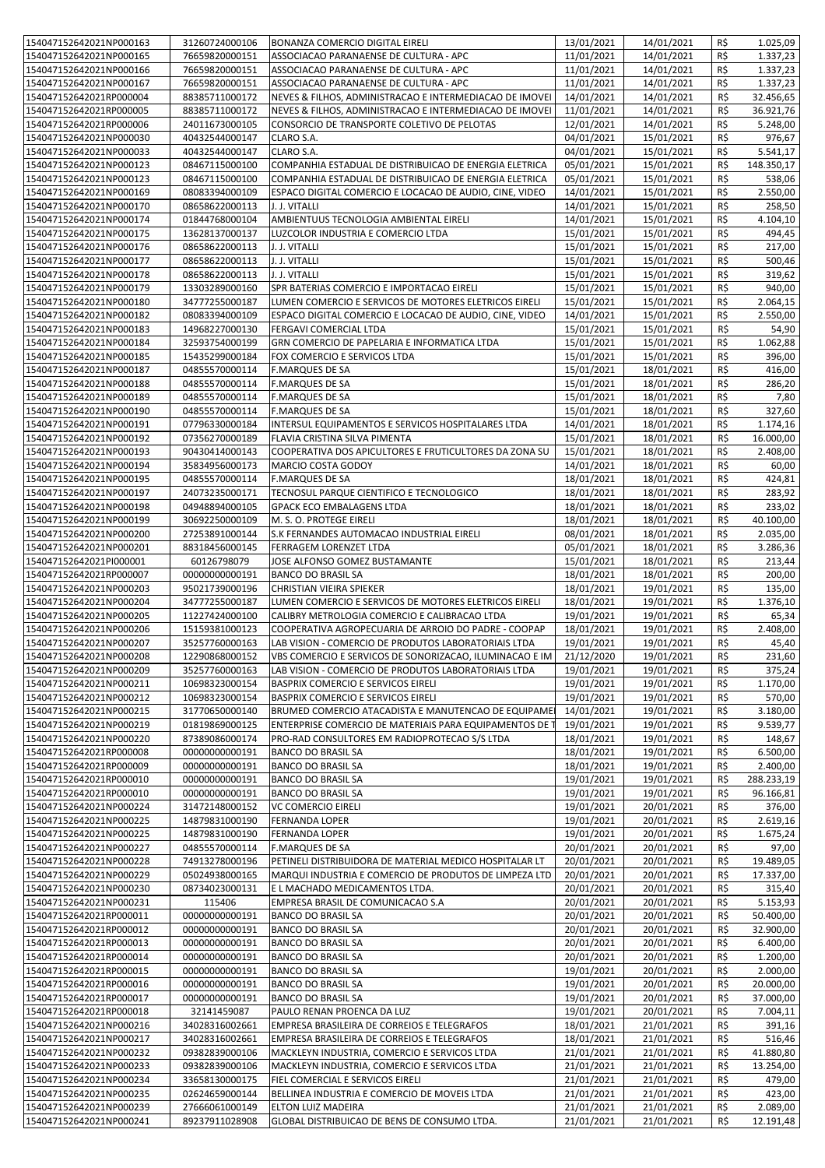| 154047152642021NP000163                            | 31260724000106                   | <b>BONANZA COMERCIO DIGITAL EIRELI</b>                             | 13/01/2021               | 14/01/2021               | R\$            | 1.025,09              |
|----------------------------------------------------|----------------------------------|--------------------------------------------------------------------|--------------------------|--------------------------|----------------|-----------------------|
|                                                    |                                  |                                                                    |                          |                          |                |                       |
| 154047152642021NP000165                            | 76659820000151                   | ASSOCIACAO PARANAENSE DE CULTURA - APC                             | 11/01/2021               | 14/01/2021               | R\$            | 1.337,23              |
| 154047152642021NP000166                            | 76659820000151                   | ASSOCIACAO PARANAENSE DE CULTURA - APC                             | 11/01/2021               | 14/01/2021               | R\$            | 1.337,23              |
| 154047152642021NP000167                            | 76659820000151                   | ASSOCIACAO PARANAENSE DE CULTURA - APC                             | 11/01/2021               | 14/01/2021               | R\$            | 1.337,23              |
| 154047152642021RP000004                            | 88385711000172                   | NEVES & FILHOS, ADMINISTRACAO E INTERMEDIACAO DE IMOVEI            | 14/01/2021               | 14/01/2021               | R\$            | 32.456,65             |
|                                                    |                                  |                                                                    |                          |                          |                |                       |
| 154047152642021RP000005                            | 88385711000172                   | NEVES & FILHOS, ADMINISTRACAO E INTERMEDIACAO DE IMOVEI            | 11/01/2021               | 14/01/2021               | R\$            | 36.921,76             |
| 154047152642021RP000006                            | 24011673000105                   | CONSORCIO DE TRANSPORTE COLETIVO DE PELOTAS                        | 12/01/2021               | 14/01/2021               | R\$            | 5.248,00              |
| 154047152642021NP000030                            | 40432544000147                   | CLARO S.A.                                                         | 04/01/2021               | 15/01/2021               | R\$            | 976,67                |
| 154047152642021NP000033                            | 40432544000147                   | CLARO S.A.                                                         | 04/01/2021               | 15/01/2021               | R\$            | 5.541,17              |
|                                                    |                                  |                                                                    |                          |                          |                |                       |
| 154047152642021NP000123                            | 08467115000100                   | COMPANHIA ESTADUAL DE DISTRIBUICAO DE ENERGIA ELETRICA             | 05/01/2021               | 15/01/2021               | R\$            | 148.350,17            |
| 154047152642021NP000123                            | 08467115000100                   | COMPANHIA ESTADUAL DE DISTRIBUICAO DE ENERGIA ELETRICA             | 05/01/2021               | 15/01/2021               | R\$            | 538,06                |
| 154047152642021NP000169                            | 08083394000109                   | ESPACO DIGITAL COMERCIO E LOCACAO DE AUDIO, CINE, VIDEO            | 14/01/2021               | 15/01/2021               | R\$            | 2.550,00              |
|                                                    |                                  |                                                                    |                          |                          |                |                       |
| 154047152642021NP000170                            | 08658622000113                   | J. J. VITALLI                                                      | 14/01/2021               | 15/01/2021               | R\$            | 258,50                |
| 154047152642021NP000174                            | 01844768000104                   | AMBIENTUUS TECNOLOGIA AMBIENTAL EIRELI                             | 14/01/2021               | 15/01/2021               | R\$            | 4.104,10              |
| 154047152642021NP000175                            | 13628137000137                   | LUZCOLOR INDUSTRIA E COMERCIO LTDA                                 | 15/01/2021               | 15/01/2021               | R\$            | 494,45                |
| 154047152642021NP000176                            | 08658622000113                   | J. J. VITALLI                                                      | 15/01/2021               | 15/01/2021               | R\$            | 217,00                |
|                                                    |                                  |                                                                    |                          |                          |                |                       |
| 154047152642021NP000177                            | 08658622000113                   | J. J. VITALLI                                                      | 15/01/2021               | 15/01/2021               | R\$            | 500,46                |
| 154047152642021NP000178                            | 08658622000113                   | J. J. VITALLI                                                      | 15/01/2021               | 15/01/2021               | R\$            | 319,62                |
| 154047152642021NP000179                            | 13303289000160                   | SPR BATERIAS COMERCIO E IMPORTACAO EIRELI                          | 15/01/2021               | 15/01/2021               | R\$            | 940,00                |
|                                                    |                                  |                                                                    |                          |                          |                |                       |
| 154047152642021NP000180                            | 34777255000187                   | LUMEN COMERCIO E SERVICOS DE MOTORES ELETRICOS EIRELI              | 15/01/2021               | 15/01/2021               | R\$            | 2.064,15              |
| 154047152642021NP000182                            | 08083394000109                   | ESPACO DIGITAL COMERCIO E LOCACAO DE AUDIO, CINE, VIDEO            | 14/01/2021               | 15/01/2021               | R\$            | 2.550,00              |
| 154047152642021NP000183                            | 14968227000130                   | FERGAVI COMERCIAL LTDA                                             | 15/01/2021               | 15/01/2021               | R\$            | 54,90                 |
| 154047152642021NP000184                            | 32593754000199                   | GRN COMERCIO DE PAPELARIA E INFORMATICA LTDA                       | 15/01/2021               | 15/01/2021               | R\$            | 1.062,88              |
|                                                    |                                  |                                                                    |                          |                          |                |                       |
| 154047152642021NP000185                            | 15435299000184                   | FOX COMERCIO E SERVICOS LTDA                                       | 15/01/2021               | 15/01/2021               | R\$            | 396,00                |
| 154047152642021NP000187                            | 04855570000114                   | <b>F.MARQUES DE SA</b>                                             | 15/01/2021               | 18/01/2021               | R\$            | 416,00                |
| 154047152642021NP000188                            | 04855570000114                   | <b>F.MARQUES DE SA</b>                                             | 15/01/2021               | 18/01/2021               | R\$            | 286,20                |
|                                                    |                                  |                                                                    |                          |                          | R\$            |                       |
| 154047152642021NP000189                            | 04855570000114                   | <b>F.MARQUES DE SA</b>                                             | 15/01/2021               | 18/01/2021               |                | 7,80                  |
| 154047152642021NP000190                            | 04855570000114                   | <b>F.MARQUES DE SA</b>                                             | 15/01/2021               | 18/01/2021               | R\$            | 327,60                |
| 154047152642021NP000191                            | 07796330000184                   | INTERSUL EQUIPAMENTOS E SERVICOS HOSPITALARES LTDA                 | 14/01/2021               | 18/01/2021               | R\$            | 1.174,16              |
| 154047152642021NP000192                            | 07356270000189                   | FLAVIA CRISTINA SILVA PIMENTA                                      | 15/01/2021               | 18/01/2021               | R\$            | 16.000,00             |
|                                                    |                                  |                                                                    |                          |                          |                |                       |
| 154047152642021NP000193                            | 90430414000143                   | COOPERATIVA DOS APICULTORES E FRUTICULTORES DA ZONA SU             | 15/01/2021               | 18/01/2021               | R\$            | 2.408,00              |
| 154047152642021NP000194                            | 35834956000173                   | MARCIO COSTA GODOY                                                 | 14/01/2021               | 18/01/2021               | R\$            | 60,00                 |
| 154047152642021NP000195                            | 04855570000114                   | F.MARQUES DE SA                                                    | 18/01/2021               | 18/01/2021               | R\$            | 424,81                |
| 154047152642021NP000197                            | 24073235000171                   | TECNOSUL PARQUE CIENTIFICO E TECNOLOGICO                           | 18/01/2021               |                          | R\$            | 283,92                |
|                                                    |                                  |                                                                    |                          | 18/01/2021               |                |                       |
| 154047152642021NP000198                            | 04948894000105                   | GPACK ECO EMBALAGENS LTDA                                          | 18/01/2021               | 18/01/2021               | R\$            | 233,02                |
| 154047152642021NP000199                            | 30692250000109                   | M. S. O. PROTEGE EIRELI                                            | 18/01/2021               | 18/01/2021               | R\$            | 40.100,00             |
| 154047152642021NP000200                            | 27253891000144                   | S.K FERNANDES AUTOMACAO INDUSTRIAL EIRELI                          | 08/01/2021               | 18/01/2021               | R\$            | 2.035,00              |
|                                                    |                                  |                                                                    |                          |                          |                |                       |
| 154047152642021NP000201                            | 88318456000145                   | FERRAGEM LORENZET LTDA                                             | 05/01/2021               | 18/01/2021               | R\$            | 3.286,36              |
| 154047152642021Pl000001                            | 60126798079                      | JOSE ALFONSO GOMEZ BUSTAMANTE                                      | 15/01/2021               | 18/01/2021               | R\$            | 213,44                |
| 154047152642021RP000007                            | 00000000000191                   | BANCO DO BRASIL SA                                                 | 18/01/2021               | 18/01/2021               | R\$            | 200,00                |
| 154047152642021NP000203                            | 95021739000196                   | CHRISTIAN VIEIRA SPIEKER                                           | 18/01/2021               | 19/01/2021               | R\$            | 135,00                |
|                                                    |                                  |                                                                    |                          |                          |                |                       |
| 154047152642021NP000204                            | 34777255000187                   | LUMEN COMERCIO E SERVICOS DE MOTORES ELETRICOS EIRELI              | 18/01/2021               | 19/01/2021               | R\$            | 1.376,10              |
| 154047152642021NP000205                            | 11227424000100                   | CALIBRY METROLOGIA COMERCIO E CALIBRACAO LTDA                      | 19/01/2021               | 19/01/2021               | R\$            | 65,34                 |
| 154047152642021NP000206                            | 15159381000123                   | COOPERATIVA AGROPECUARIA DE ARROIO DO PADRE - COOPAP               | 18/01/2021               | 19/01/2021               | R\$            | 2.408,00              |
| 154047152642021NP000207                            | 35257760000163                   | LAB VISION - COMERCIO DE PRODUTOS LABORATORIAIS LTDA               | 19/01/2021               | 19/01/2021               | R\$            | 45,40                 |
|                                                    |                                  |                                                                    |                          |                          |                |                       |
| 154047152642021NP000208                            | 12290868000152                   | VBS COMERCIO E SERVICOS DE SONORIZACAO, ILUMINACAO E IM 21/12/2020 |                          | 19/01/2021               | $R\frac{2}{3}$ | 231,60                |
| 154047152642021NP000209                            | 35257760000163                   | LAB VISION - COMERCIO DE PRODUTOS LABORATORIAIS LTDA               | 19/01/2021               | 19/01/2021               | R\$            | 375,24                |
| 154047152642021NP000211                            | 10698323000154                   | BASPRIX COMERCIO E SERVICOS EIRELI                                 | 19/01/2021               | 19/01/2021               | R\$            | 1.170,00              |
|                                                    |                                  |                                                                    |                          |                          |                |                       |
| 154047152642021NP000212                            | 10698323000154                   | BASPRIX COMERCIO E SERVICOS EIRELI                                 | 19/01/2021               | 19/01/2021               | R\$            | 570,00                |
| 154047152642021NP000215                            | 31770650000140                   | BRUMED COMERCIO ATACADISTA E MANUTENCAO DE EQUIPAME                | 14/01/2021               | 19/01/2021               | R\$            | 3.180,00              |
| 154047152642021NP000219                            | 01819869000125                   | ENTERPRISE COMERCIO DE MATERIAIS PARA EQUIPAMENTOS DE 1            | 19/01/2021               | 19/01/2021               | R\$            | 9.539,77              |
| 154047152642021NP000220                            | 87389086000174                   | PRO-RAD CONSULTORES EM RADIOPROTECAO S/S LTDA                      | 18/01/2021               | 19/01/2021               | R\$            | 148,67                |
|                                                    |                                  |                                                                    |                          |                          |                |                       |
| 154047152642021RP000008                            | 00000000000191                   | <b>BANCO DO BRASIL SA</b>                                          | 18/01/2021               | 19/01/2021               | R\$            | 6.500,00              |
| 154047152642021RP000009                            | 00000000000191                   | <b>BANCO DO BRASIL SA</b>                                          | 18/01/2021               | 19/01/2021               | R\$            | 2.400,00              |
| 154047152642021RP000010                            | 00000000000191                   | <b>BANCO DO BRASIL SA</b>                                          | 19/01/2021               | 19/01/2021               | R\$            | 288.233,19            |
| 154047152642021RP000010                            | 00000000000191                   | <b>BANCO DO BRASIL SA</b>                                          | 19/01/2021               | 19/01/2021               | R\$            | 96.166,81             |
|                                                    |                                  |                                                                    |                          |                          |                |                       |
| 154047152642021NP000224                            | 31472148000152                   | VC COMERCIO EIRELI                                                 | 19/01/2021               | 20/01/2021               | R\$            | 376,00                |
| 154047152642021NP000225                            | 14879831000190                   | <b>FERNANDA LOPER</b>                                              | 19/01/2021               | 20/01/2021               | R\$            | 2.619,16              |
| 154047152642021NP000225                            | 14879831000190                   | <b>FERNANDA LOPER</b>                                              | 19/01/2021               | 20/01/2021               | R\$            | 1.675,24              |
| 154047152642021NP000227                            | 04855570000114                   | <b>F.MARQUES DE SA</b>                                             | 20/01/2021               | 20/01/2021               | R\$            | 97,00                 |
|                                                    |                                  |                                                                    |                          |                          |                |                       |
| 154047152642021NP000228                            | 74913278000196                   | PETINELI DISTRIBUIDORA DE MATERIAL MEDICO HOSPITALAR LT            | 20/01/2021               | 20/01/2021               | R\$            | 19.489,05             |
| 154047152642021NP000229                            | 05024938000165                   | MARQUI INDUSTRIA E COMERCIO DE PRODUTOS DE LIMPEZA LTD             | 20/01/2021               | 20/01/2021               | R\$            | 17.337,00             |
| 154047152642021NP000230                            | 08734023000131                   | E L MACHADO MEDICAMENTOS LTDA.                                     | 20/01/2021               | 20/01/2021               | R\$            | 315,40                |
| 154047152642021NP000231                            | 115406                           | EMPRESA BRASIL DE COMUNICACAO S.A                                  | 20/01/2021               | 20/01/2021               | R\$            | 5.153,93              |
|                                                    |                                  |                                                                    |                          |                          |                |                       |
| 154047152642021RP000011                            | 00000000000191                   | BANCO DO BRASIL SA                                                 | 20/01/2021               | 20/01/2021               | R\$            | 50.400,00             |
| 154047152642021RP000012                            | 00000000000191                   | <b>BANCO DO BRASIL SA</b>                                          | 20/01/2021               | 20/01/2021               | R\$            | 32.900,00             |
| 154047152642021RP000013                            | 00000000000191                   | <b>BANCO DO BRASIL SA</b>                                          | 20/01/2021               | 20/01/2021               | R\$            | 6.400,00              |
|                                                    |                                  |                                                                    |                          |                          |                |                       |
| 154047152642021RP000014                            | 00000000000191                   | <b>BANCO DO BRASIL SA</b>                                          | 20/01/2021               | 20/01/2021               | R\$            | 1.200,00              |
| 154047152642021RP000015                            | 00000000000191                   | <b>BANCO DO BRASIL SA</b>                                          | 19/01/2021               | 20/01/2021               | R\$            | 2.000,00              |
| 154047152642021RP000016                            | 00000000000191                   | <b>BANCO DO BRASIL SA</b>                                          | 19/01/2021               | 20/01/2021               | R\$            | 20.000,00             |
| 154047152642021RP000017                            | 00000000000191                   | <b>BANCO DO BRASIL SA</b>                                          | 19/01/2021               | 20/01/2021               | R\$            | 37.000,00             |
|                                                    |                                  |                                                                    |                          |                          |                |                       |
| 154047152642021RP000018                            | 32141459087                      | PAULO RENAN PROENCA DA LUZ                                         | 19/01/2021               | 20/01/2021               | R\$            | 7.004,11              |
| 154047152642021NP000216                            | 34028316002661                   | EMPRESA BRASILEIRA DE CORREIOS E TELEGRAFOS                        | 18/01/2021               | 21/01/2021               | R\$            | 391,16                |
| 154047152642021NP000217                            | 34028316002661                   | EMPRESA BRASILEIRA DE CORREIOS E TELEGRAFOS                        | 18/01/2021               | 21/01/2021               | R\$            | 516,46                |
|                                                    |                                  |                                                                    | 21/01/2021               | 21/01/2021               |                | 41.880,80             |
| 154047152642021NP000232                            | 09382839000106                   | MACKLEYN INDUSTRIA, COMERCIO E SERVICOS LTDA                       |                          |                          | R\$            |                       |
| 154047152642021NP000233                            | 09382839000106                   | MACKLEYN INDUSTRIA, COMERCIO E SERVICOS LTDA                       | 21/01/2021               | 21/01/2021               | R\$            | 13.254,00             |
| 154047152642021NP000234                            | 33658130000175                   | FIEL COMERCIAL E SERVICOS EIRELI                                   | 21/01/2021               | 21/01/2021               | R\$            | 479,00                |
| 154047152642021NP000235                            | 02624659000144                   | BELLINEA INDUSTRIA E COMERCIO DE MOVEIS LTDA                       | 21/01/2021               | 21/01/2021               | R\$            | 423,00                |
|                                                    |                                  |                                                                    |                          |                          |                |                       |
|                                                    |                                  |                                                                    |                          |                          |                |                       |
| 154047152642021NP000239<br>154047152642021NP000241 | 27666061000149<br>89237911028908 | ELTON LUIZ MADEIRA<br>GLOBAL DISTRIBUICAO DE BENS DE CONSUMO LTDA. | 21/01/2021<br>21/01/2021 | 21/01/2021<br>21/01/2021 | R\$<br>R\$     | 2.089,00<br>12.191,48 |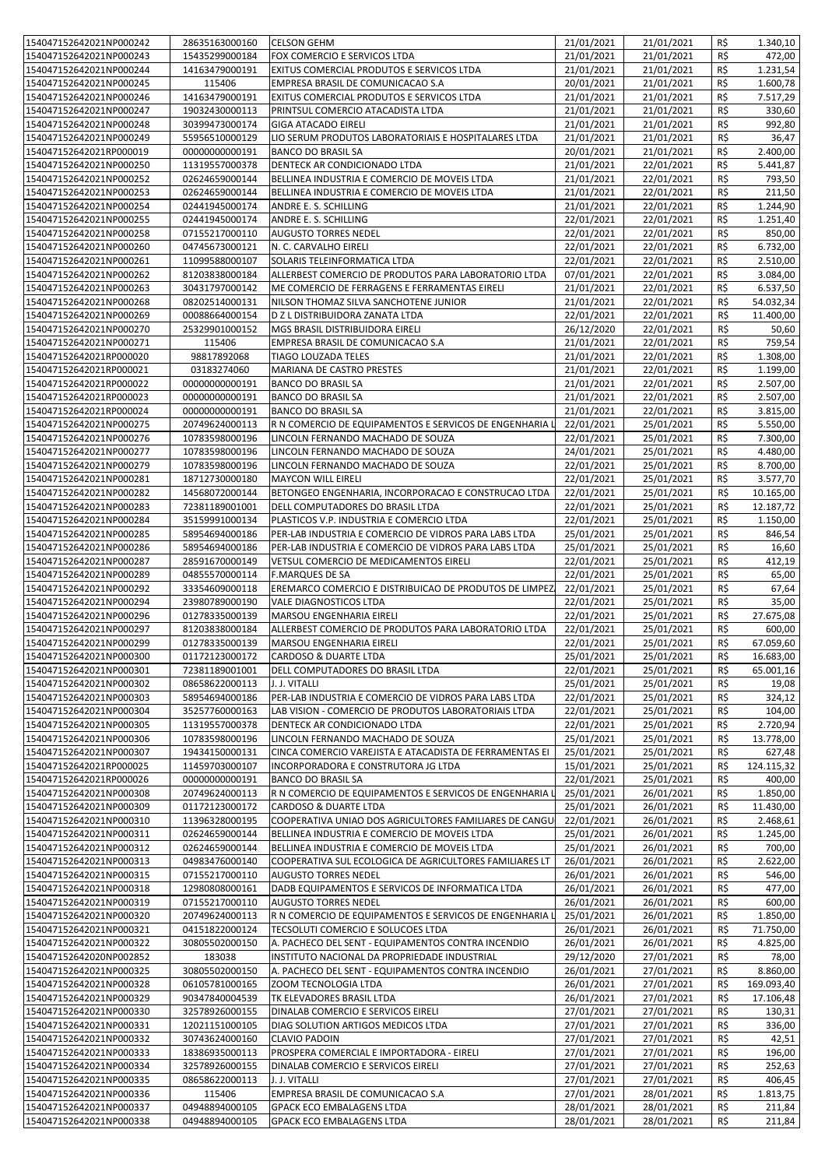| 154047152642021NP000242 | 28635163000160 | <b>CELSON GEHM</b>                                      | 21/01/2021 | 21/01/2021 | R\$ | 1.340,10              |
|-------------------------|----------------|---------------------------------------------------------|------------|------------|-----|-----------------------|
|                         |                |                                                         |            |            |     |                       |
| 154047152642021NP000243 | 15435299000184 | FOX COMERCIO E SERVICOS LTDA                            | 21/01/2021 | 21/01/2021 | R\$ | 472,00                |
| 154047152642021NP000244 | 14163479000191 | EXITUS COMERCIAL PRODUTOS E SERVICOS LTDA               | 21/01/2021 | 21/01/2021 | R\$ | 1.231,54              |
|                         |                |                                                         | 20/01/2021 | 21/01/2021 | R\$ | 1.600,78              |
| 154047152642021NP000245 | 115406         | EMPRESA BRASIL DE COMUNICACAO S.A                       |            |            |     |                       |
| 154047152642021NP000246 | 14163479000191 | EXITUS COMERCIAL PRODUTOS E SERVICOS LTDA               | 21/01/2021 | 21/01/2021 | R\$ | 7.517,29              |
| 154047152642021NP000247 | 19032430000113 | PRINTSUL COMERCIO ATACADISTA LTDA                       | 21/01/2021 | 21/01/2021 | R\$ | 330,60                |
|                         |                |                                                         |            |            |     |                       |
| 154047152642021NP000248 | 30399473000174 | <b>GIGA ATACADO EIRELI</b>                              | 21/01/2021 | 21/01/2021 | R\$ | 992,80                |
| 154047152642021NP000249 | 55956510000129 | LIO SERUM PRODUTOS LABORATORIAIS E HOSPITALARES LTDA    | 21/01/2021 | 21/01/2021 | R\$ | 36,47                 |
|                         |                |                                                         |            |            | R\$ |                       |
| 154047152642021RP000019 | 00000000000191 | <b>BANCO DO BRASIL SA</b>                               | 20/01/2021 | 21/01/2021 |     | 2.400,00              |
| 154047152642021NP000250 | 11319557000378 | DENTECK AR CONDICIONADO LTDA                            | 21/01/2021 | 22/01/2021 | R\$ | 5.441,87              |
| 154047152642021NP000252 | 02624659000144 | BELLINEA INDUSTRIA E COMERCIO DE MOVEIS LTDA            | 21/01/2021 | 22/01/2021 | R\$ | 793,50                |
|                         |                |                                                         |            |            |     |                       |
| 154047152642021NP000253 | 02624659000144 | BELLINEA INDUSTRIA E COMERCIO DE MOVEIS LTDA            | 21/01/2021 | 22/01/2021 | R\$ | 211,50                |
| 154047152642021NP000254 | 02441945000174 | ANDRE E. S. SCHILLING                                   | 21/01/2021 | 22/01/2021 | R\$ | 1.244,90              |
|                         |                |                                                         |            |            |     |                       |
| 154047152642021NP000255 | 02441945000174 | ANDRE E. S. SCHILLING                                   | 22/01/2021 | 22/01/2021 | R\$ | $\overline{1.251,40}$ |
| 154047152642021NP000258 | 07155217000110 | <b>AUGUSTO TORRES NEDEL</b>                             | 22/01/2021 | 22/01/2021 | R\$ | 850,00                |
| 154047152642021NP000260 | 04745673000121 | N. C. CARVALHO EIRELI                                   | 22/01/2021 | 22/01/2021 | R\$ | 6.732,00              |
|                         |                |                                                         |            |            |     |                       |
| 154047152642021NP000261 | 11099588000107 | SOLARIS TELEINFORMATICA LTDA                            | 22/01/2021 | 22/01/2021 | R\$ | 2.510,00              |
| 154047152642021NP000262 | 81203838000184 | ALLERBEST COMERCIO DE PRODUTOS PARA LABORATORIO LTDA    | 07/01/2021 | 22/01/2021 | R\$ | 3.084,00              |
|                         |                |                                                         |            |            |     |                       |
| 154047152642021NP000263 | 30431797000142 | ME COMERCIO DE FERRAGENS E FERRAMENTAS EIRELI           | 21/01/2021 | 22/01/2021 | R\$ | 6.537,50              |
| 154047152642021NP000268 | 08202514000131 | NILSON THOMAZ SILVA SANCHOTENE JUNIOR                   | 21/01/2021 | 22/01/2021 | R\$ | 54.032,34             |
|                         |                | D Z L DISTRIBUIDORA ZANATA LTDA                         |            |            |     |                       |
| 154047152642021NP000269 | 00088664000154 |                                                         | 22/01/2021 | 22/01/2021 | R\$ | 11.400,00             |
| 154047152642021NP000270 | 25329901000152 | MGS BRASIL DISTRIBUIDORA EIRELI                         | 26/12/2020 | 22/01/2021 | R\$ | 50,60                 |
| 154047152642021NP000271 | 115406         | EMPRESA BRASIL DE COMUNICACAO S.A                       | 21/01/2021 | 22/01/2021 | R\$ | 759,54                |
|                         |                |                                                         |            |            |     |                       |
| 154047152642021RP000020 | 98817892068    | TIAGO LOUZADA TELES                                     | 21/01/2021 | 22/01/2021 | R\$ | 1.308,00              |
| 154047152642021RP000021 | 03183274060    | MARIANA DE CASTRO PRESTES                               | 21/01/2021 | 22/01/2021 | R\$ | 1.199,00              |
|                         |                |                                                         |            |            |     |                       |
| 154047152642021RP000022 | 00000000000191 | <b>BANCO DO BRASIL SA</b>                               | 21/01/2021 | 22/01/2021 | R\$ | 2.507,00              |
| 154047152642021RP000023 | 00000000000191 | <b>BANCO DO BRASIL SA</b>                               | 21/01/2021 | 22/01/2021 | R\$ | 2.507,00              |
| 154047152642021RP000024 | 00000000000191 | <b>BANCO DO BRASIL SA</b>                               | 21/01/2021 | 22/01/2021 | R\$ | 3.815,00              |
|                         |                |                                                         |            |            |     |                       |
| 154047152642021NP000275 | 20749624000113 | R N COMERCIO DE EQUIPAMENTOS E SERVICOS DE ENGENHARIA   | 22/01/2021 | 25/01/2021 | R\$ | 5.550,00              |
| 154047152642021NP000276 | 10783598000196 | LINCOLN FERNANDO MACHADO DE SOUZA                       | 22/01/2021 | 25/01/2021 | R\$ | 7.300,00              |
|                         |                |                                                         |            |            |     |                       |
| 154047152642021NP000277 | 10783598000196 | LINCOLN FERNANDO MACHADO DE SOUZA                       | 24/01/2021 | 25/01/2021 | R\$ | 4.480,00              |
| 154047152642021NP000279 | 10783598000196 | LINCOLN FERNANDO MACHADO DE SOUZA                       | 22/01/2021 | 25/01/2021 | R\$ | 8.700,00              |
|                         |                |                                                         |            |            | R\$ | 3.577,70              |
| 154047152642021NP000281 | 18712730000180 | <b>MAYCON WILL EIRELI</b>                               | 22/01/2021 | 25/01/2021 |     |                       |
| 154047152642021NP000282 | 14568072000144 | BETONGEO ENGENHARIA, INCORPORACAO E CONSTRUCAO LTDA     | 22/01/2021 | 25/01/2021 | R\$ | 10.165,00             |
| 154047152642021NP000283 | 72381189001001 | DELL COMPUTADORES DO BRASIL LTDA                        | 22/01/2021 | 25/01/2021 | R\$ | 12.187,72             |
|                         |                |                                                         |            |            |     |                       |
| 154047152642021NP000284 | 35159991000134 | PLASTICOS V.P. INDUSTRIA E COMERCIO LTDA                | 22/01/2021 | 25/01/2021 | R\$ | 1.150,00              |
| 154047152642021NP000285 | 58954694000186 | PER-LAB INDUSTRIA E COMERCIO DE VIDROS PARA LABS LTDA   | 25/01/2021 | 25/01/2021 | R\$ | 846,54                |
|                         |                |                                                         |            |            |     |                       |
| 154047152642021NP000286 | 58954694000186 | PER-LAB INDUSTRIA E COMERCIO DE VIDROS PARA LABS LTDA   | 25/01/2021 | 25/01/2021 | R\$ | 16,60                 |
| 154047152642021NP000287 | 28591670000149 | VETSUL COMERCIO DE MEDICAMENTOS EIRELI                  | 22/01/2021 | 25/01/2021 | R\$ | 412,19                |
| 154047152642021NP000289 | 04855570000114 | <b>F.MARQUES DE SA</b>                                  | 22/01/2021 | 25/01/2021 | R\$ | 65,00                 |
|                         |                |                                                         |            |            |     |                       |
| 154047152642021NP000292 | 33354609000118 | EREMARCO COMERCIO E DISTRIBUICAO DE PRODUTOS DE LIMPEZ  | 22/01/2021 | 25/01/2021 | R\$ | 67,64                 |
| 154047152642021NP000294 | 23980789000190 | VALE DIAGNOSTICOS LTDA                                  | 22/01/2021 | 25/01/2021 | R\$ | 35,00                 |
|                         |                |                                                         |            |            |     |                       |
| 154047152642021NP000296 | 01278335000139 | MARSOU ENGENHARIA EIRELI                                | 22/01/2021 | 25/01/2021 | R\$ | 27.675,08             |
| 154047152642021NP000297 | 81203838000184 | ALLERBEST COMERCIO DE PRODUTOS PARA LABORATORIO LTDA    | 22/01/2021 | 25/01/2021 | R\$ | 600,00                |
| 154047152642021NP000299 | 01278335000139 | MARSOU ENGENHARIA EIRELI                                | 22/01/2021 | 25/01/2021 | R\$ | 67.059.60             |
|                         |                |                                                         |            |            |     |                       |
| 154047152642021NP000300 | 01172123000172 | <b>CARDOSO &amp; DUARTE LTDA</b>                        | 25/01/2021 | 25/01/2021 | R\$ | 16.683,00             |
| 154047152642021NP000301 | 72381189001001 | DELL COMPUTADORES DO BRASIL LTDA                        | 22/01/2021 | 25/01/2021 | R\$ | 65.001,16             |
|                         |                |                                                         |            |            |     |                       |
| 154047152642021NP000302 | 08658622000113 | J. J. VITALLI                                           | 25/01/2021 | 25/01/2021 | R\$ | 19,08                 |
| 154047152642021NP000303 | 58954694000186 | PER-LAB INDUSTRIA E COMERCIO DE VIDROS PARA LABS LTDA   | 22/01/2021 | 25/01/2021 | R\$ | 324,12                |
|                         |                |                                                         |            |            |     |                       |
| 154047152642021NP000304 | 35257760000163 | LAB VISION - COMERCIO DE PRODUTOS LABORATORIAIS LTDA    | 22/01/2021 | 25/01/2021 | R\$ | 104,00                |
| 154047152642021NP000305 | 11319557000378 | DENTECK AR CONDICIONADO LTDA                            | 22/01/2021 | 25/01/2021 | R\$ | 2.720,94              |
| 154047152642021NP000306 | 10783598000196 | LINCOLN FERNANDO MACHADO DE SOUZA                       | 25/01/2021 | 25/01/2021 | R\$ | 13.778,00             |
|                         |                |                                                         |            |            |     |                       |
| 154047152642021NP000307 | 19434150000131 | CINCA COMERCIO VAREJISTA E ATACADISTA DE FERRAMENTAS EI | 25/01/2021 | 25/01/2021 | R\$ | 627,48                |
| 154047152642021RP000025 | 11459703000107 | INCORPORADORA E CONSTRUTORA JG LTDA                     | 15/01/2021 | 25/01/2021 | R\$ | 124.115,32            |
| 154047152642021RP000026 | 00000000000191 |                                                         | 22/01/2021 | 25/01/2021 | R\$ | 400,00                |
|                         |                | <b>BANCO DO BRASIL SA</b>                               |            |            |     |                       |
| 154047152642021NP000308 | 20749624000113 | R N COMERCIO DE EQUIPAMENTOS E SERVICOS DE ENGENHARIA   | 25/01/2021 | 26/01/2021 | R\$ | 1.850,00              |
| 154047152642021NP000309 | 01172123000172 | CARDOSO & DUARTE LTDA                                   | 25/01/2021 | 26/01/2021 | R\$ | 11.430,00             |
|                         |                |                                                         |            |            |     |                       |
| 154047152642021NP000310 | 11396328000195 | COOPERATIVA UNIAO DOS AGRICULTORES FAMILIARES DE CANGU  | 22/01/2021 | 26/01/2021 | R\$ | $\overline{2.468,61}$ |
| 154047152642021NP000311 | 02624659000144 | BELLINEA INDUSTRIA E COMERCIO DE MOVEIS LTDA            | 25/01/2021 | 26/01/2021 | R\$ | 1.245,00              |
| 154047152642021NP000312 | 02624659000144 | BELLINEA INDUSTRIA E COMERCIO DE MOVEIS LTDA            | 25/01/2021 | 26/01/2021 | R\$ | 700,00                |
|                         |                |                                                         |            |            |     |                       |
| 154047152642021NP000313 | 04983476000140 | COOPERATIVA SUL ECOLOGICA DE AGRICULTORES FAMILIARES LT | 26/01/2021 | 26/01/2021 | R\$ | 2.622,00              |
| 154047152642021NP000315 | 07155217000110 | <b>AUGUSTO TORRES NEDEL</b>                             | 26/01/2021 | 26/01/2021 | R\$ | 546,00                |
|                         |                |                                                         |            |            |     |                       |
| 154047152642021NP000318 | 12980808000161 | DADB EQUIPAMENTOS E SERVICOS DE INFORMATICA LTDA        | 26/01/2021 | 26/01/2021 | R\$ | 477,00                |
| 154047152642021NP000319 | 07155217000110 | <b>AUGUSTO TORRES NEDEL</b>                             | 26/01/2021 | 26/01/2021 | R\$ | 600,00                |
|                         |                |                                                         | 25/01/2021 |            |     |                       |
| 154047152642021NP000320 | 20749624000113 | R N COMERCIO DE EQUIPAMENTOS E SERVICOS DE ENGENHARIA   |            | 26/01/2021 | R\$ | 1.850,00              |
| 154047152642021NP000321 | 04151822000124 | TECSOLUTI COMERCIO E SOLUCOES LTDA                      | 26/01/2021 | 26/01/2021 | R\$ | 71.750,00             |
| 154047152642021NP000322 | 30805502000150 | A. PACHECO DEL SENT - EQUIPAMENTOS CONTRA INCENDIO      | 26/01/2021 | 26/01/2021 | R\$ | 4.825,00              |
|                         |                |                                                         |            |            |     |                       |
| 154047152642020NP002852 | 183038         | INSTITUTO NACIONAL DA PROPRIEDADE INDUSTRIAL            | 29/12/2020 | 27/01/2021 | R\$ | 78,00                 |
| 154047152642021NP000325 | 30805502000150 | A. PACHECO DEL SENT - EQUIPAMENTOS CONTRA INCENDIO      | 26/01/2021 | 27/01/2021 | R\$ | 8.860,00              |
|                         |                |                                                         |            |            |     |                       |
| 154047152642021NP000328 | 06105781000165 | ZOOM TECNOLOGIA LTDA                                    | 26/01/2021 | 27/01/2021 | R\$ | 169.093,40            |
| 154047152642021NP000329 | 90347840004539 | TK ELEVADORES BRASIL LTDA                               | 26/01/2021 | 27/01/2021 | R\$ | 17.106,48             |
| 154047152642021NP000330 | 32578926000155 | DINALAB COMERCIO E SERVICOS EIRELI                      | 27/01/2021 | 27/01/2021 | R\$ | 130,31                |
|                         |                |                                                         |            |            |     |                       |
| 154047152642021NP000331 | 12021151000105 | DIAG SOLUTION ARTIGOS MEDICOS LTDA                      | 27/01/2021 | 27/01/2021 | R\$ | 336,00                |
| 154047152642021NP000332 | 30743624000160 | <b>CLAVIO PADOIN</b>                                    | 27/01/2021 | 27/01/2021 | R\$ | 42,51                 |
|                         |                |                                                         |            |            |     |                       |
| 154047152642021NP000333 | 18386935000113 | PROSPERA COMERCIAL E IMPORTADORA - EIRELI               | 27/01/2021 | 27/01/2021 | R\$ | 196,00                |
| 154047152642021NP000334 | 32578926000155 | DINALAB COMERCIO E SERVICOS EIRELI                      | 27/01/2021 | 27/01/2021 | R\$ | 252,63                |
| 154047152642021NP000335 | 08658622000113 | J. J. VITALLI                                           | 27/01/2021 | 27/01/2021 | R\$ | 406,45                |
|                         |                |                                                         |            |            |     |                       |
| 154047152642021NP000336 | 115406         | EMPRESA BRASIL DE COMUNICACAO S.A                       | 27/01/2021 | 28/01/2021 | R\$ | 1.813,75              |
| 154047152642021NP000337 | 04948894000105 | <b>GPACK ECO EMBALAGENS LTDA</b>                        | 28/01/2021 | 28/01/2021 | R\$ | 211,84                |
|                         | 04948894000105 | <b>GPACK ECO EMBALAGENS LTDA</b>                        | 28/01/2021 | 28/01/2021 | R\$ | 211,84                |
| 154047152642021NP000338 |                |                                                         |            |            |     |                       |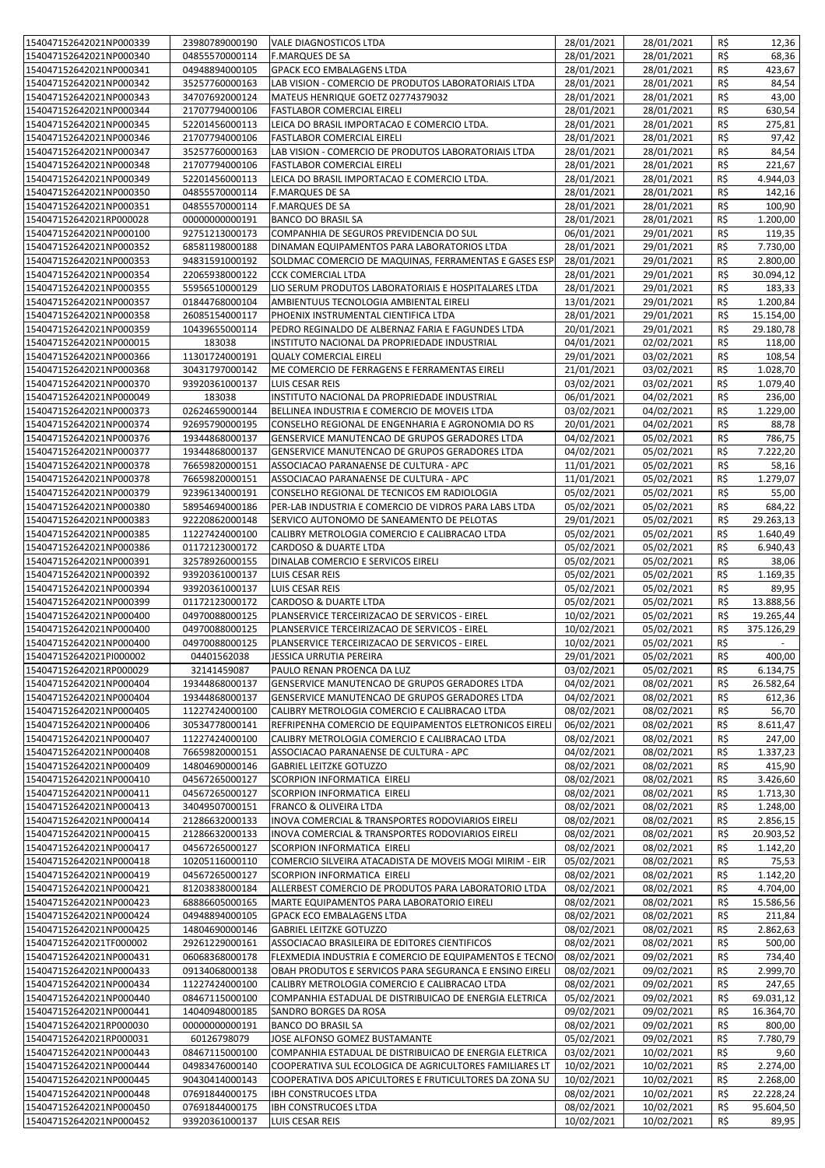| 154047152642021NP000339                            | 23980789000190                   | <b>VALE DIAGNOSTICOS LTDA</b>                           | 28/01/2021               | 28/01/2021               | R\$            | 12,36                 |
|----------------------------------------------------|----------------------------------|---------------------------------------------------------|--------------------------|--------------------------|----------------|-----------------------|
| 154047152642021NP000340                            | 04855570000114                   | <b>F.MARQUES DE SA</b>                                  | 28/01/2021               | 28/01/2021               | R\$            | 68,36                 |
|                                                    |                                  |                                                         |                          |                          |                |                       |
| 154047152642021NP000341                            | 04948894000105                   | <b>GPACK ECO EMBALAGENS LTDA</b>                        | 28/01/2021               | 28/01/2021               | R\$            | 423,67                |
| 154047152642021NP000342                            | 35257760000163                   | LAB VISION - COMERCIO DE PRODUTOS LABORATORIAIS LTDA    | 28/01/2021               | 28/01/2021               | R\$            | 84,54                 |
| 154047152642021NP000343                            | 34707692000124                   | MATEUS HENRIQUE GOETZ 02774379032                       | 28/01/2021               | 28/01/2021               | R\$            | 43,00                 |
| 154047152642021NP000344                            | 21707794000106                   | <b>FASTLABOR COMERCIAL EIRELI</b>                       | 28/01/2021               | 28/01/2021               | R\$            | 630,54                |
| 154047152642021NP000345                            | 52201456000113                   | LEICA DO BRASIL IMPORTACAO E COMERCIO LTDA.             | 28/01/2021               | 28/01/2021               | R\$            | 275,81                |
|                                                    |                                  |                                                         |                          |                          |                |                       |
| 154047152642021NP000346                            | 21707794000106                   | <b>FASTLABOR COMERCIAL EIRELI</b>                       | 28/01/2021               | 28/01/2021               | R\$            | 97,42                 |
| 154047152642021NP000347                            | 35257760000163                   | LAB VISION - COMERCIO DE PRODUTOS LABORATORIAIS LTDA    | 28/01/2021               | 28/01/2021               | R\$            | 84,54                 |
| 154047152642021NP000348                            | 21707794000106                   | <b>FASTLABOR COMERCIAL EIRELI</b>                       | 28/01/2021               | 28/01/2021               | R\$            | 221,67                |
| 154047152642021NP000349                            | 52201456000113                   | LEICA DO BRASIL IMPORTACAO E COMERCIO LTDA.             | 28/01/2021               | 28/01/2021               | R\$            | 4.944,03              |
| 154047152642021NP000350                            | 04855570000114                   | <b>F.MARQUES DE SA</b>                                  | 28/01/2021               | 28/01/2021               | R\$            | 142,16                |
|                                                    |                                  |                                                         |                          |                          |                |                       |
| 154047152642021NP000351                            | 04855570000114                   | <b>F.MARQUES DE SA</b>                                  | 28/01/2021               | 28/01/2021               | R\$            | 100,90                |
| 154047152642021RP000028                            | 00000000000191                   | <b>BANCO DO BRASIL SA</b>                               | 28/01/2021               | 28/01/2021               | R\$            | 1.200,00              |
| 154047152642021NP000100                            | 92751213000173                   | COMPANHIA DE SEGUROS PREVIDENCIA DO SUL                 | 06/01/2021               | 29/01/2021               | R\$            | 119,35                |
| 154047152642021NP000352                            | 68581198000188                   | DINAMAN EQUIPAMENTOS PARA LABORATORIOS LTDA             | 28/01/2021               | 29/01/2021               | R\$            | 7.730,00              |
| 154047152642021NP000353                            | 94831591000192                   | SOLDMAC COMERCIO DE MAQUINAS, FERRAMENTAS E GASES ESP   | 28/01/2021               | 29/01/2021               | R\$            | 2.800,00              |
|                                                    |                                  |                                                         |                          |                          |                |                       |
| 154047152642021NP000354                            | 22065938000122                   | <b>CCK COMERCIAL LTDA</b>                               | 28/01/2021               | 29/01/2021               | R\$            | 30.094,12             |
| 154047152642021NP000355                            | 55956510000129                   | LIO SERUM PRODUTOS LABORATORIAIS E HOSPITALARES LTDA    | 28/01/2021               | 29/01/2021               | R\$            | 183,33                |
| 154047152642021NP000357                            | 01844768000104                   | AMBIENTUUS TECNOLOGIA AMBIENTAL EIRELI                  | 13/01/2021               | 29/01/2021               | R\$            | 1.200,84              |
| 154047152642021NP000358                            | 26085154000117                   | PHOENIX INSTRUMENTAL CIENTIFICA LTDA                    | 28/01/2021               | 29/01/2021               | R\$            | 15.154,00             |
| 154047152642021NP000359                            | 10439655000114                   | PEDRO REGINALDO DE ALBERNAZ FARIA E FAGUNDES LTDA       | 20/01/2021               | 29/01/2021               | R\$            | 29.180,78             |
| 154047152642021NP000015                            | 183038                           | INSTITUTO NACIONAL DA PROPRIEDADE INDUSTRIAL            | 04/01/2021               | 02/02/2021               | R\$            | 118,00                |
|                                                    |                                  |                                                         |                          |                          |                |                       |
| 154047152642021NP000366                            | 11301724000191                   | <b>QUALY COMERCIAL EIRELI</b>                           | 29/01/2021               | 03/02/2021               | R\$            | 108,54                |
| 154047152642021NP000368                            | 30431797000142                   | ME COMERCIO DE FERRAGENS E FERRAMENTAS EIRELI           | 21/01/2021               | 03/02/2021               | R\$            | 1.028,70              |
| 154047152642021NP000370                            | 93920361000137                   | LUIS CESAR REIS                                         | 03/02/2021               | 03/02/2021               | R\$            | 1.079,40              |
| 154047152642021NP000049                            | 183038                           | INSTITUTO NACIONAL DA PROPRIEDADE INDUSTRIAL            | 06/01/2021               | 04/02/2021               | R\$            | 236,00                |
| 154047152642021NP000373                            | 02624659000144                   | BELLINEA INDUSTRIA E COMERCIO DE MOVEIS LTDA            | 03/02/2021               | 04/02/2021               | R\$            | 1.229,00              |
| 154047152642021NP000374                            | 92695790000195                   | CONSELHO REGIONAL DE ENGENHARIA E AGRONOMIA DO RS       | 20/01/2021               | 04/02/2021               | R\$            | 88,78                 |
|                                                    |                                  |                                                         |                          |                          |                |                       |
| 154047152642021NP000376                            | 19344868000137                   | GENSERVICE MANUTENCAO DE GRUPOS GERADORES LTDA          | 04/02/2021               | 05/02/2021               | R\$            | 786,75                |
| 154047152642021NP000377                            | 19344868000137                   | GENSERVICE MANUTENCAO DE GRUPOS GERADORES LTDA          | 04/02/2021               | 05/02/2021               | R\$            | 7.222,20              |
| 154047152642021NP000378                            | 76659820000151                   | ASSOCIACAO PARANAENSE DE CULTURA - APC                  | 11/01/2021               | 05/02/2021               | R\$            | 58,16                 |
| 154047152642021NP000378                            | 76659820000151                   | ASSOCIACAO PARANAENSE DE CULTURA - APC                  | 11/01/2021               | 05/02/2021               | R\$            | 1.279,07              |
| 154047152642021NP000379                            | 92396134000191                   | CONSELHO REGIONAL DE TECNICOS EM RADIOLOGIA             | 05/02/2021               | 05/02/2021               | R\$            | 55,00                 |
| 154047152642021NP000380                            | 58954694000186                   | PER-LAB INDUSTRIA E COMERCIO DE VIDROS PARA LABS LTDA   | 05/02/2021               | 05/02/2021               | R\$            | 684,22                |
| 154047152642021NP000383                            | 92220862000148                   | SERVICO AUTONOMO DE SANEAMENTO DE PELOTAS               | 29/01/2021               | 05/02/2021               | R\$            | 29.263,13             |
|                                                    |                                  |                                                         |                          |                          |                |                       |
| 154047152642021NP000385                            | 11227424000100                   | CALIBRY METROLOGIA COMERCIO E CALIBRACAO LTDA           | 05/02/2021               | 05/02/2021               | R\$            | 1.640,49              |
| 154047152642021NP000386                            | 01172123000172                   | CARDOSO & DUARTE LTDA                                   | 05/02/2021               | 05/02/2021               | R\$            | 6.940,43              |
| 154047152642021NP000391                            | 32578926000155                   | DINALAB COMERCIO E SERVICOS EIRELI                      | 05/02/2021               | 05/02/2021               | R\$            | 38,06                 |
| 154047152642021NP000392                            | 93920361000137                   | LUIS CESAR REIS                                         | 05/02/2021               | 05/02/2021               | R\$            | 1.169,35              |
| 154047152642021NP000394                            | 93920361000137                   | <b>LUIS CESAR REIS</b>                                  | 05/02/2021               | 05/02/2021               | R\$            | 89,95                 |
| 154047152642021NP000399                            | 01172123000172                   | CARDOSO & DUARTE LTDA                                   | 05/02/2021               | 05/02/2021               | R\$            | 13.888,56             |
| 154047152642021NP000400                            | 04970088000125                   | PLANSERVICE TERCEIRIZACAO DE SERVICOS - EIREL           | 10/02/2021               | 05/02/2021               | R\$            | 19.265,44             |
| 154047152642021NP000400                            |                                  |                                                         |                          |                          |                |                       |
|                                                    | 04970088000125                   | PLANSERVICE TERCEIRIZACAO DE SERVICOS - EIREL           | 10/02/2021               | 05/02/2021               | R\$            | 375.126,29            |
| 154047152642021NP000400                            | 04970088000125                   | PLANSERVICE TERCEIRIZACAO DE SERVICOS - EIREL           | 10/02/2021               | 05/02/2021               | R\$            |                       |
| 154047152642021Pl000002                            | 04401562038                      | JESSICA URRUTIA PEREIRA                                 | 29/01/2021               | 05/02/2021               | $R\frac{2}{3}$ | 400,00                |
| 154047152642021RP000029                            | 32141459087                      | PAULO RENAN PROENCA DA LUZ                              | 03/02/2021               | 05/02/2021               | R\$            | 6.134,75              |
| 154047152642021NP000404                            | 19344868000137                   | GENSERVICE MANUTENCAO DE GRUPOS GERADORES LTDA          | 04/02/2021               | 08/02/2021               | R\$            | 26.582,64             |
| 154047152642021NP000404                            | 19344868000137                   | GENSERVICE MANUTENCAO DE GRUPOS GERADORES LTDA          | 04/02/2021               | 08/02/2021               | R\$            | 612,36                |
| 154047152642021NP000405                            | 11227424000100                   | CALIBRY METROLOGIA COMERCIO E CALIBRACAO LTDA           | 08/02/2021               | 08/02/2021               | R\$            | 56,70                 |
|                                                    |                                  |                                                         |                          |                          |                |                       |
| 154047152642021NP000406                            | 30534778000141                   | REFRIPENHA COMERCIO DE EQUIPAMENTOS ELETRONICOS EIRELI  | 06/02/2021               | 08/02/2021               | R\$            | 8.611,47              |
| 154047152642021NP000407                            | 11227424000100                   | CALIBRY METROLOGIA COMERCIO E CALIBRACAO LTDA           | 08/02/2021               | 08/02/2021               | R\$            | 247,00                |
| 154047152642021NP000408                            | 76659820000151                   | ASSOCIACAO PARANAENSE DE CULTURA - APC                  | 04/02/2021               | 08/02/2021               | R\$            | 1.337,23              |
| 154047152642021NP000409                            | 14804690000146                   | <b>GABRIEL LEITZKE GOTUZZO</b>                          | 08/02/2021               | 08/02/2021               | R\$            | 415,90                |
| 154047152642021NP000410                            | 04567265000127                   | SCORPION INFORMATICA EIRELI                             | 08/02/2021               | 08/02/2021               | R\$            | 3.426,60              |
| 154047152642021NP000411                            | 04567265000127                   | SCORPION INFORMATICA EIRELI                             | 08/02/2021               | 08/02/2021               | R\$            | 1.713,30              |
| 154047152642021NP000413                            | 34049507000151                   | <b>FRANCO &amp; OLIVEIRA LTDA</b>                       | 08/02/2021               | 08/02/2021               | R\$            | 1.248,00              |
| 154047152642021NP000414                            | 21286632000133                   | INOVA COMERCIAL & TRANSPORTES RODOVIARIOS EIRELI        | 08/02/2021               | 08/02/2021               | R\$            | 2.856,15              |
|                                                    |                                  |                                                         |                          |                          |                |                       |
| 154047152642021NP000415                            | 21286632000133                   | INOVA COMERCIAL & TRANSPORTES RODOVIARIOS EIRELI        | 08/02/2021               | 08/02/2021               | R\$            | 20.903,52             |
| 154047152642021NP000417                            | 04567265000127                   | SCORPION INFORMATICA EIRELI                             | 08/02/2021               | 08/02/2021               | R\$            | $\overline{1.142,20}$ |
| 154047152642021NP000418                            | 10205116000110                   | COMERCIO SILVEIRA ATACADISTA DE MOVEIS MOGI MIRIM - EIR | 05/02/2021               | 08/02/2021               | R\$            | 75,53                 |
| 154047152642021NP000419                            | 04567265000127                   | SCORPION INFORMATICA EIRELI                             | 08/02/2021               | 08/02/2021               | R\$            | 1.142,20              |
| 154047152642021NP000421                            | 81203838000184                   | ALLERBEST COMERCIO DE PRODUTOS PARA LABORATORIO LTDA    | 08/02/2021               | 08/02/2021               | R\$            | 4.704,00              |
| 154047152642021NP000423                            | 68886605000165                   | MARTE EQUIPAMENTOS PARA LABORATORIO EIRELI              | 08/02/2021               | 08/02/2021               | R\$            | 15.586,56             |
|                                                    |                                  |                                                         |                          |                          |                |                       |
| 154047152642021NP000424                            | 04948894000105                   | GPACK ECO EMBALAGENS LTDA                               | 08/02/2021               | 08/02/2021               | R\$            | 211,84                |
| 154047152642021NP000425                            | 14804690000146                   | <b>GABRIEL LEITZKE GOTUZZO</b>                          | 08/02/2021               | 08/02/2021               | R\$            | 2.862,63              |
| 154047152642021TF000002                            | 29261229000161                   | ASSOCIACAO BRASILEIRA DE EDITORES CIENTIFICOS           | 08/02/2021               | 08/02/2021               | R\$            | 500,00                |
| 154047152642021NP000431                            | 06068368000178                   | FLEXMEDIA INDUSTRIA E COMERCIO DE EQUIPAMENTOS E TECNO  | 08/02/2021               | 09/02/2021               | R\$            | 734,40                |
| 154047152642021NP000433                            | 09134068000138                   | OBAH PRODUTOS E SERVICOS PARA SEGURANCA E ENSINO EIRELI | 08/02/2021               | 09/02/2021               | R\$            | 2.999,70              |
| 154047152642021NP000434                            | 11227424000100                   | CALIBRY METROLOGIA COMERCIO E CALIBRACAO LTDA           | 08/02/2021               | 09/02/2021               | R\$            | 247,65                |
| 154047152642021NP000440                            | 08467115000100                   | COMPANHIA ESTADUAL DE DISTRIBUICAO DE ENERGIA ELETRICA  | 05/02/2021               | 09/02/2021               | R\$            | 69.031,12             |
| 154047152642021NP000441                            | 14040948000185                   | SANDRO BORGES DA ROSA                                   | 09/02/2021               | 09/02/2021               | R\$            | 16.364,70             |
|                                                    |                                  |                                                         |                          |                          |                |                       |
| 154047152642021RP000030                            | 00000000000191                   | <b>BANCO DO BRASIL SA</b>                               | 08/02/2021               | 09/02/2021               | R\$            | 800,00                |
| 154047152642021RP000031                            | 60126798079                      | JOSE ALFONSO GOMEZ BUSTAMANTE                           | 05/02/2021               | 09/02/2021               | R\$            | 7.780,79              |
| 154047152642021NP000443                            | 08467115000100                   | COMPANHIA ESTADUAL DE DISTRIBUICAO DE ENERGIA ELETRICA  | 03/02/2021               | 10/02/2021               | R\$            | 9,60                  |
| 154047152642021NP000444                            | 04983476000140                   | COOPERATIVA SUL ECOLOGICA DE AGRICULTORES FAMILIARES LT | 10/02/2021               | 10/02/2021               | R\$            | 2.274,00              |
| 154047152642021NP000445                            | 90430414000143                   | COOPERATIVA DOS APICULTORES E FRUTICULTORES DA ZONA SU  | 10/02/2021               | 10/02/2021               | R\$            | 2.268,00              |
| 154047152642021NP000448                            | 07691844000175                   | <b>IBH CONSTRUCOES LTDA</b>                             | 08/02/2021               | 10/02/2021               | R\$            | 22.228,24             |
|                                                    |                                  |                                                         |                          |                          |                |                       |
|                                                    |                                  |                                                         |                          |                          |                |                       |
| 154047152642021NP000450<br>154047152642021NP000452 | 07691844000175<br>93920361000137 | <b>IBH CONSTRUCOES LTDA</b><br>LUIS CESAR REIS          | 08/02/2021<br>10/02/2021 | 10/02/2021<br>10/02/2021 | R\$<br>R\$     | 95.604,50<br>89,95    |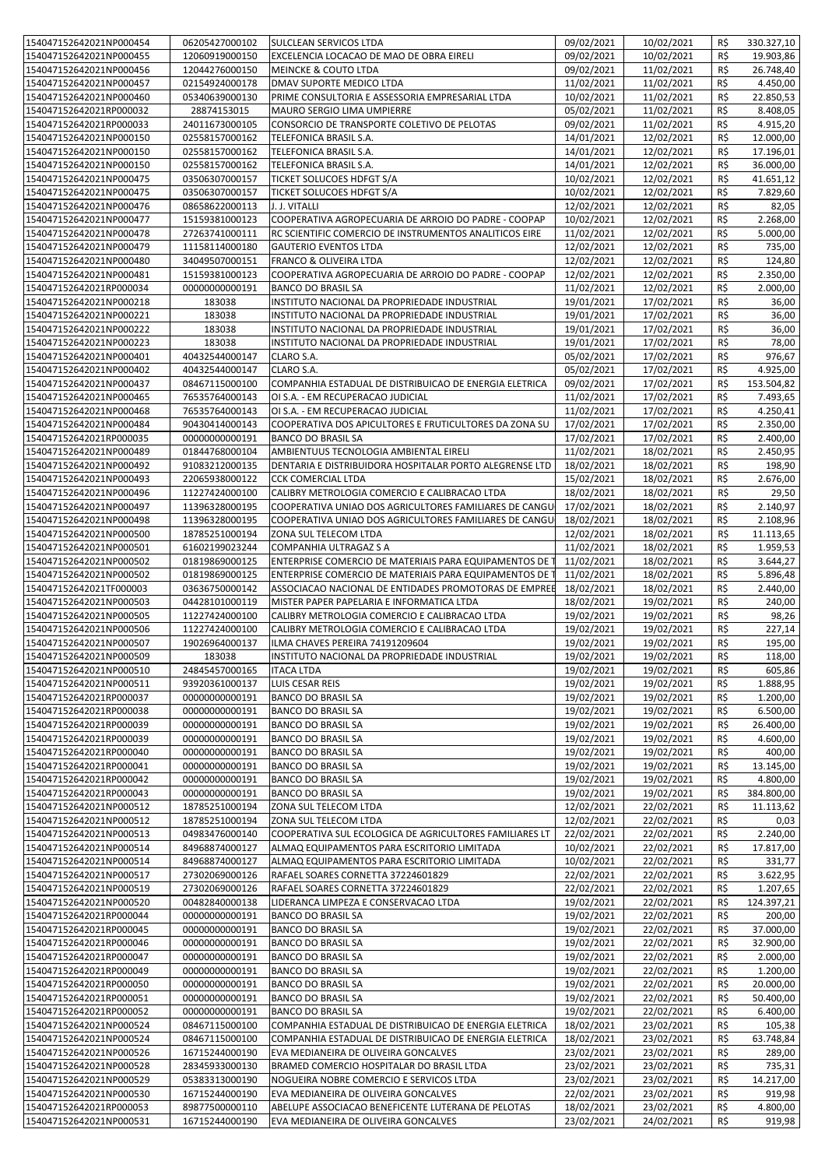| 154047152642021NP000454                            | 06205427000102                   | SULCLEAN SERVICOS LTDA                                                                     | 09/02/2021               | 10/02/2021               | R\$        | 330.327,10         |
|----------------------------------------------------|----------------------------------|--------------------------------------------------------------------------------------------|--------------------------|--------------------------|------------|--------------------|
| 154047152642021NP000455                            | 12060919000150                   | EXCELENCIA LOCACAO DE MAO DE OBRA EIRELI                                                   | 09/02/2021               | 10/02/2021               | R\$        | 19.903,86          |
| 154047152642021NP000456                            | 12044276000150                   | <b>MEINCKE &amp; COUTO LTDA</b>                                                            | 09/02/2021               | 11/02/2021               | R\$        | 26.748,40          |
|                                                    |                                  |                                                                                            |                          |                          |            |                    |
| 154047152642021NP000457                            | 02154924000178                   | DMAV SUPORTE MEDICO LTDA                                                                   | 11/02/2021               | 11/02/2021               | R\$        | 4.450,00           |
| 154047152642021NP000460                            | 05340639000130                   | PRIME CONSULTORIA E ASSESSORIA EMPRESARIAL LTDA                                            | 10/02/2021               | 11/02/2021               | R\$        | 22.850,53          |
| 154047152642021RP000032                            | 28874153015                      | MAURO SERGIO LIMA UMPIERRE                                                                 | 05/02/2021               | 11/02/2021               | R\$        | 8.408,05           |
|                                                    |                                  |                                                                                            |                          |                          |            |                    |
| 154047152642021RP000033                            | 24011673000105                   | CONSORCIO DE TRANSPORTE COLETIVO DE PELOTAS                                                | 09/02/2021               | 11/02/2021               | R\$        | 4.915,20           |
| 154047152642021NP000150                            | 02558157000162                   | TELEFONICA BRASIL S.A.                                                                     | 14/01/2021               | 12/02/2021               | R\$        | 12.000,00          |
| 154047152642021NP000150                            | 02558157000162                   | TELEFONICA BRASIL S.A.                                                                     | 14/01/2021               | 12/02/2021               | R\$        | 17.196,01          |
|                                                    |                                  |                                                                                            |                          |                          |            |                    |
| 154047152642021NP000150                            | 02558157000162                   | TELEFONICA BRASIL S.A.                                                                     | 14/01/2021               | 12/02/2021               | R\$        | 36.000,00          |
| 154047152642021NP000475                            | 03506307000157                   | TICKET SOLUCOES HDFGT S/A                                                                  | 10/02/2021               | 12/02/2021               | R\$        | 41.651,12          |
|                                                    |                                  | <b>TICKET SOLUCOES HDFGT S/A</b>                                                           |                          |                          |            |                    |
| 154047152642021NP000475                            | 03506307000157                   |                                                                                            | 10/02/2021               | 12/02/2021               | R\$        | 7.829,60           |
| 154047152642021NP000476                            | 08658622000113                   | J. J. VITALLI                                                                              | 12/02/2021               | 12/02/2021               | R\$        | 82,05              |
| 154047152642021NP000477                            | 15159381000123                   | COOPERATIVA AGROPECUARIA DE ARROIO DO PADRE - COOPAP                                       | 10/02/2021               | 12/02/2021               | R\$        | 2.268,00           |
|                                                    |                                  |                                                                                            |                          |                          |            |                    |
| 154047152642021NP000478                            | 27263741000111                   | RC SCIENTIFIC COMERCIO DE INSTRUMENTOS ANALITICOS EIRE                                     | 11/02/2021               | 12/02/2021               | R\$        | 5.000,00           |
| 154047152642021NP000479                            | 11158114000180                   | <b>GAUTERIO EVENTOS LTDA</b>                                                               | 12/02/2021               | 12/02/2021               | R\$        | 735,00             |
| 154047152642021NP000480                            | 34049507000151                   | <b>FRANCO &amp; OLIVEIRA LTDA</b>                                                          | 12/02/2021               | 12/02/2021               | R\$        | 124,80             |
|                                                    |                                  |                                                                                            |                          |                          |            |                    |
| 154047152642021NP000481                            | 15159381000123                   | COOPERATIVA AGROPECUARIA DE ARROIO DO PADRE - COOPAP                                       | 12/02/2021               | 12/02/2021               | R\$        | 2.350,00           |
| 154047152642021RP000034                            | 00000000000191                   | <b>BANCO DO BRASIL SA</b>                                                                  | 11/02/2021               | 12/02/2021               | R\$        | 2.000,00           |
| 154047152642021NP000218                            | 183038                           | INSTITUTO NACIONAL DA PROPRIEDADE INDUSTRIAL                                               | 19/01/2021               | 17/02/2021               | R\$        | 36,00              |
|                                                    |                                  |                                                                                            |                          |                          |            |                    |
| 154047152642021NP000221                            | 183038                           | INSTITUTO NACIONAL DA PROPRIEDADE INDUSTRIAL                                               | 19/01/2021               | 17/02/2021               | R\$        | 36,00              |
| 154047152642021NP000222                            | 183038                           | INSTITUTO NACIONAL DA PROPRIEDADE INDUSTRIAL                                               | 19/01/2021               | 17/02/2021               | R\$        | 36,00              |
|                                                    |                                  |                                                                                            |                          |                          |            |                    |
| 154047152642021NP000223                            | 183038                           | INSTITUTO NACIONAL DA PROPRIEDADE INDUSTRIAL                                               | 19/01/2021               | 17/02/2021               | R\$        | 78,00              |
| 154047152642021NP000401                            | 40432544000147                   | CLARO S.A.                                                                                 | 05/02/2021               | 17/02/2021               | R\$        | 976,67             |
| 154047152642021NP000402                            | 40432544000147                   | CLARO S.A.                                                                                 | 05/02/2021               | 17/02/2021               | R\$        | 4.925,00           |
|                                                    |                                  |                                                                                            |                          |                          |            |                    |
| 154047152642021NP000437                            | 08467115000100                   | COMPANHIA ESTADUAL DE DISTRIBUICAO DE ENERGIA ELETRICA                                     | 09/02/2021               | 17/02/2021               | R\$        | 153.504,82         |
| 154047152642021NP000465                            | 76535764000143                   | OI S.A. - EM RECUPERACAO JUDICIAL                                                          | 11/02/2021               | 17/02/2021               | R\$        | 7.493,65           |
| 154047152642021NP000468                            | 76535764000143                   | OI S.A. - EM RECUPERACAO JUDICIAL                                                          | 11/02/2021               | 17/02/2021               | R\$        | 4.250,41           |
|                                                    |                                  |                                                                                            |                          |                          |            |                    |
| 154047152642021NP000484                            | 90430414000143                   | COOPERATIVA DOS APICULTORES E FRUTICULTORES DA ZONA SU                                     | 17/02/2021               | 17/02/2021               | R\$        | 2.350,00           |
| 154047152642021RP000035                            | 00000000000191                   | <b>BANCO DO BRASIL SA</b>                                                                  | 17/02/2021               | 17/02/2021               | R\$        | 2.400,00           |
|                                                    |                                  |                                                                                            |                          |                          |            |                    |
| 154047152642021NP000489                            | 01844768000104                   | AMBIENTUUS TECNOLOGIA AMBIENTAL EIRELI                                                     | 11/02/2021               | 18/02/2021               | R\$        | 2.450,95           |
| 154047152642021NP000492                            | 91083212000135                   | DENTARIA E DISTRIBUIDORA HOSPITALAR PORTO ALEGRENSE LTD                                    | 18/02/2021               | 18/02/2021               | R\$        | 198,90             |
| 154047152642021NP000493                            | 22065938000122                   | <b>CCK COMERCIAL LTDA</b>                                                                  | 15/02/2021               | 18/02/2021               | R\$        | 2.676,00           |
|                                                    |                                  |                                                                                            |                          |                          |            |                    |
| 154047152642021NP000496                            | 11227424000100                   | CALIBRY METROLOGIA COMERCIO E CALIBRACAO LTDA                                              | 18/02/2021               | 18/02/2021               | R\$        | 29,50              |
| 154047152642021NP000497                            | 11396328000195                   | COOPERATIVA UNIAO DOS AGRICULTORES FAMILIARES DE CANGU                                     | 17/02/2021               | 18/02/2021               | R\$        | 2.140,97           |
| 154047152642021NP000498                            | 11396328000195                   | COOPERATIVA UNIAO DOS AGRICULTORES FAMILIARES DE CANGU                                     | 18/02/2021               | 18/02/2021               | R\$        | 2.108,96           |
|                                                    |                                  |                                                                                            |                          |                          |            |                    |
| 154047152642021NP000500                            | 18785251000194                   | ZONA SUL TELECOM LTDA                                                                      | 12/02/2021               | 18/02/2021               | R\$        | 11.113,65          |
| 154047152642021NP000501                            | 61602199023244                   | COMPANHIA ULTRAGAZ S A                                                                     | 11/02/2021               | 18/02/2021               | R\$        | 1.959,53           |
| 154047152642021NP000502                            | 01819869000125                   | ENTERPRISE COMERCIO DE MATERIAIS PARA EQUIPAMENTOS DE 1                                    | 11/02/2021               | 18/02/2021               | R\$        | 3.644,27           |
|                                                    |                                  |                                                                                            |                          |                          |            |                    |
| 154047152642021NP000502                            | 01819869000125                   | ENTERPRISE COMERCIO DE MATERIAIS PARA EQUIPAMENTOS DE                                      | 11/02/2021               | 18/02/2021               | R\$        | 5.896,48           |
| 154047152642021TF000003                            | 03636750000142                   | ASSOCIACAO NACIONAL DE ENTIDADES PROMOTORAS DE EMPREE                                      | 18/02/2021               | 18/02/2021               | R\$        | 2.440,00           |
|                                                    | 04428101000119                   |                                                                                            |                          |                          | R\$        |                    |
| 154047152642021NP000503                            |                                  | MISTER PAPER PAPELARIA E INFORMATICA LTDA                                                  | 18/02/2021               | 19/02/2021               |            | 240,00             |
| 154047152642021NP000505                            | 11227424000100                   | CALIBRY METROLOGIA COMERCIO E CALIBRACAO LTDA                                              | 19/02/2021               | 19/02/2021               | R\$        | 98,26              |
| 154047152642021NP000506                            | 11227424000100                   | CALIBRY METROLOGIA COMERCIO E CALIBRACAO LTDA                                              | 19/02/2021               | 19/02/2021               | R\$        | 227,14             |
|                                                    |                                  |                                                                                            |                          |                          |            |                    |
| 154047152642021NP000507                            | 19026964000137                   | ILMA CHAVES PEREIRA 74191209604                                                            | 19/02/2021               | 19/02/2021               | R\$        | 195,00             |
| 154047152642021NP000509                            | 183038                           | INSTITUTO NACIONAL DA PROPRIEDADE INDUSTRIAL                                               | 19/02/2021               | 19/02/2021               | $R\zeta$   | 118,00             |
| 154047152642021NP000510                            | 24845457000165                   | <b>ITACA LTDA</b>                                                                          | 19/02/2021               | 19/02/2021               | R\$        | 605,86             |
|                                                    |                                  |                                                                                            |                          |                          |            |                    |
| 154047152642021NP000511                            | 93920361000137                   | LUIS CESAR REIS                                                                            | 19/02/2021               | 19/02/2021               | R\$        | 1.888,95           |
| 154047152642021RP000037                            | 00000000000191                   | <b>BANCO DO BRASIL SA</b>                                                                  | 19/02/2021               | 19/02/2021               | R\$        | 1.200,00           |
| 154047152642021RP000038                            | 00000000000191                   | <b>BANCO DO BRASIL SA</b>                                                                  | 19/02/2021               | 19/02/2021               | R\$        | 6.500,00           |
|                                                    |                                  |                                                                                            |                          |                          |            |                    |
| 154047152642021RP000039                            | 00000000000191                   | <b>BANCO DO BRASIL SA</b>                                                                  | 19/02/2021               | 19/02/2021               | R\$        | 26.400,00          |
| 154047152642021RP000039                            | 00000000000191                   | <b>BANCO DO BRASIL SA</b>                                                                  | 19/02/2021               | 19/02/2021               | R\$        | 4.600,00           |
| 154047152642021RP000040                            | 00000000000191                   | <b>BANCO DO BRASIL SA</b>                                                                  | 19/02/2021               | 19/02/2021               | R\$        | 400,00             |
|                                                    |                                  |                                                                                            |                          |                          |            |                    |
| 154047152642021RP000041                            | 00000000000191                   | <b>BANCO DO BRASIL SA</b>                                                                  | 19/02/2021               | 19/02/2021               | R\$        | 13.145,00          |
| 154047152642021RP000042                            | 00000000000191                   | <b>BANCO DO BRASIL SA</b>                                                                  | 19/02/2021               | 19/02/2021               | R\$        | 4.800,00           |
|                                                    |                                  |                                                                                            | 19/02/2021               | 19/02/2021               |            |                    |
| 154047152642021RP000043                            | 00000000000191                   | <b>BANCO DO BRASIL SA</b>                                                                  |                          |                          | R\$        | 384.800,00         |
| 154047152642021NP000512                            | 18785251000194                   | ZONA SUL TELECOM LTDA                                                                      | 12/02/2021               | 22/02/2021               | R\$        | 11.113,62          |
| 154047152642021NP000512                            | 18785251000194                   | ZONA SUL TELECOM LTDA                                                                      | 12/02/2021               | 22/02/2021               | R\$        | 0,03               |
| 154047152642021NP000513                            | 04983476000140                   | COOPERATIVA SUL ECOLOGICA DE AGRICULTORES FAMILIARES LT                                    | 22/02/2021               | 22/02/2021               | R\$        | 2.240,00           |
|                                                    |                                  |                                                                                            |                          |                          |            |                    |
| 154047152642021NP000514                            | 84968874000127                   | ALMAQ EQUIPAMENTOS PARA ESCRITORIO LIMITADA                                                | 10/02/2021               | 22/02/2021               | R\$        | 17.817,00          |
| 154047152642021NP000514                            | 84968874000127                   | ALMAQ EQUIPAMENTOS PARA ESCRITORIO LIMITADA                                                | 10/02/2021               | 22/02/2021               | R\$        | 331,77             |
|                                                    |                                  |                                                                                            | 22/02/2021               | 22/02/2021               | R\$        | 3.622,95           |
| 154047152642021NP000517                            | 27302069000126                   | RAFAEL SOARES CORNETTA 37224601829                                                         |                          |                          |            |                    |
| 154047152642021NP000519                            | 27302069000126                   | RAFAEL SOARES CORNETTA 37224601829                                                         | 22/02/2021               | 22/02/2021               | R\$        | 1.207,65           |
| 154047152642021NP000520                            | 00482840000138                   | LIDERANCA LIMPEZA E CONSERVACAO LTDA                                                       | 19/02/2021               | 22/02/2021               | R\$        | 124.397,21         |
|                                                    |                                  |                                                                                            |                          |                          |            |                    |
| 154047152642021RP000044                            | 00000000000191                   | <b>BANCO DO BRASIL SA</b>                                                                  | 19/02/2021               | 22/02/2021               | R\$        | 200,00             |
| 154047152642021RP000045                            | 00000000000191                   | <b>BANCO DO BRASIL SA</b>                                                                  | 19/02/2021               | 22/02/2021               | R\$        | 37.000,00          |
| 154047152642021RP000046                            | 00000000000191                   | <b>BANCO DO BRASIL SA</b>                                                                  | 19/02/2021               | 22/02/2021               | R\$        | 32.900,00          |
|                                                    |                                  |                                                                                            |                          |                          |            |                    |
| 154047152642021RP000047                            | 00000000000191                   | <b>BANCO DO BRASIL SA</b>                                                                  | 19/02/2021               | 22/02/2021               | R\$        | 2.000,00           |
| 154047152642021RP000049                            | 00000000000191                   | <b>BANCO DO BRASIL SA</b>                                                                  | 19/02/2021               | 22/02/2021               | R\$        | 1.200,00           |
| 154047152642021RP000050                            |                                  |                                                                                            |                          |                          | R\$        |                    |
|                                                    |                                  |                                                                                            |                          |                          |            |                    |
|                                                    | 00000000000191                   | <b>BANCO DO BRASIL SA</b>                                                                  | 19/02/2021               | 22/02/2021               |            | 20.000,00          |
| 154047152642021RP000051                            | 00000000000191                   | <b>BANCO DO BRASIL SA</b>                                                                  | 19/02/2021               | 22/02/2021               | R\$        | 50.400,00          |
| 154047152642021RP000052                            | 00000000000191                   | <b>BANCO DO BRASIL SA</b>                                                                  | 19/02/2021               | 22/02/2021               | R\$        | 6.400,00           |
|                                                    |                                  |                                                                                            |                          |                          |            |                    |
| 154047152642021NP000524                            | 08467115000100                   | COMPANHIA ESTADUAL DE DISTRIBUICAO DE ENERGIA ELETRICA                                     | 18/02/2021               | 23/02/2021               | R\$        | 105,38             |
| 154047152642021NP000524                            | 08467115000100                   | COMPANHIA ESTADUAL DE DISTRIBUICAO DE ENERGIA ELETRICA                                     | 18/02/2021               | 23/02/2021               | R\$        | 63.748,84          |
| 154047152642021NP000526                            | 16715244000190                   | EVA MEDIANEIRA DE OLIVEIRA GONCALVES                                                       | 23/02/2021               | 23/02/2021               | R\$        | 289,00             |
|                                                    |                                  |                                                                                            |                          |                          |            |                    |
| 154047152642021NP000528                            | 28345933000130                   | BRAMED COMERCIO HOSPITALAR DO BRASIL LTDA                                                  | 23/02/2021               | 23/02/2021               | R\$        | 735,31             |
| 154047152642021NP000529                            | 05383313000190                   | NOGUEIRA NOBRE COMERCIO E SERVICOS LTDA                                                    | 23/02/2021               | 23/02/2021               | R\$        | 14.217,00          |
| 154047152642021NP000530                            | 16715244000190                   | EVA MEDIANEIRA DE OLIVEIRA GONCALVES                                                       | 22/02/2021               | 23/02/2021               | R\$        | 919,98             |
|                                                    |                                  |                                                                                            |                          |                          |            |                    |
| 154047152642021RP000053<br>154047152642021NP000531 | 89877500000110<br>16715244000190 | ABELUPE ASSOCIACAO BENEFICENTE LUTERANA DE PELOTAS<br>EVA MEDIANEIRA DE OLIVEIRA GONCALVES | 18/02/2021<br>23/02/2021 | 23/02/2021<br>24/02/2021 | R\$<br>R\$ | 4.800,00<br>919,98 |